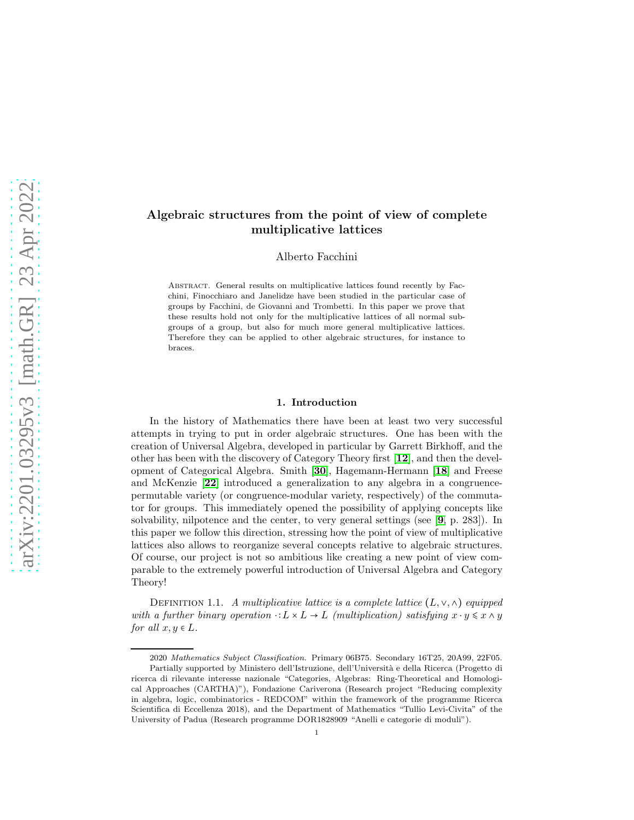# Algebraic structures from the point of view of complete multiplicative lattices

Alberto Facchini

Abstract. General results on multiplicative lattices found recently by Facchini, Finocchiaro and Janelidze have been studied in the particular case of groups by Facchini, de Giovanni and Trombetti. In this paper we prove that these results hold not only for the multiplicative lattices of all normal subgroups of a group, but also for much more general multiplicative lattices. Therefore they can be applied to other algebraic structures, for instance to braces.

## 1. Introduction

In the history of Mathematics there have been at least two very successful attempts in trying to put in order algebraic structures. One has been with the creation of Universal Algebra, developed in particular by Garrett Birkhoff, and the other has been with the discovery of Category Theory first [[12](#page-17-0)], and then the development of Categorical Algebra. Smith [[30](#page-17-1)], Hagemann-Hermann [[18](#page-17-2)] and Freese and McKenzie [[22](#page-17-3)] introduced a generalization to any algebra in a congruencepermutable variety (or congruence-modular variety, respectively) of the commutator for groups. This immediately opened the possibility of applying concepts like solvability, nilpotence and the center, to very general settings (see [[9](#page-16-0), p. 283]). In this paper we follow this direction, stressing how the point of view of multiplicative lattices also allows to reorganize several concepts relative to algebraic structures. Of course, our project is not so ambitious like creating a new point of view comparable to the extremely powerful introduction of Universal Algebra and Category Theory!

<span id="page-0-0"></span>DEFINITION 1.1. *A multiplicative lattice is a complete lattice*  $(L, \vee, \wedge)$  *equipped with a further binary operation*  $\cdot : L \times L \rightarrow L$  *(multiplication) satisfying*  $x \cdot y \leq x \wedge y$ *for all*  $x, y \in L$ *.* 

<sup>2020</sup> Mathematics Subject Classification. Primary 06B75. Secondary 16T25, 20A99, 22F05. Partially supported by Ministero dell'Istruzione, dell'Università e della Ricerca (Progetto di ricerca di rilevante interesse nazionale "Categories, Algebras: Ring-Theoretical and Homological Approaches (CARTHA)"), Fondazione Cariverona (Research project "Reducing complexity in algebra, logic, combinatorics - REDCOM" within the framework of the programme Ricerca Scientifica di Eccellenza 2018), and the Department of Mathematics "Tullio Levi-Civita" of the University of Padua (Research programme DOR1828909 "Anelli e categorie di moduli").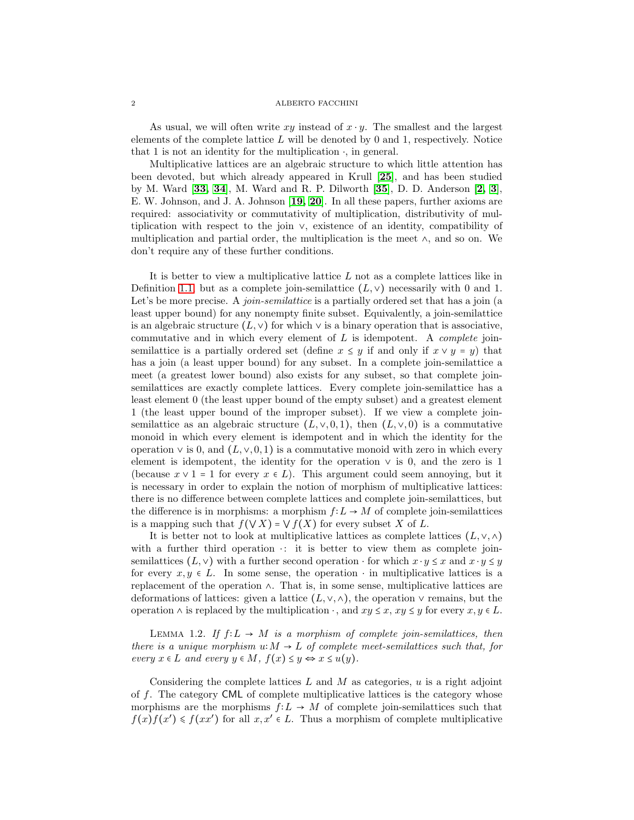As usual, we will often write xy instead of  $x \cdot y$ . The smallest and the largest elements of the complete lattice  $L$  will be denoted by 0 and 1, respectively. Notice that 1 is not an identity for the multiplication  $\cdot$ , in general.

Multiplicative lattices are an algebraic structure to which little attention has been devoted, but which already appeared in Krull [25], and has been studied by M. Ward [33, 34], M. Ward and R. P. Dilworth [35], D. D. Anderson [2, [3](#page-16-1)], E. W. Johnson, and J. A. Johnson [[19,](#page-17-4) [20](#page-17-5)]. In all these papers, further axioms are required: associativity or commutativity of multiplication, distributivity of multiplication with respect to the join ∨, existence of an identity, compatibility of multiplication and partial order, the multiplication is the meet ∧, and so on. We don't require any of these further conditions.

It is better to view a multiplicative lattice L not as a complete lattices like in Definition [1.1,](#page-0-0) but as a complete join-semilattice  $(L, \vee)$  necessarily with 0 and 1. Let's be more precise. A *join-semilattice* is a partially ordered set that has a join (a least upper bound) for any nonempty finite subset. Equivalently, a join-semilattice is an algebraic structure  $(L, \vee)$  for which  $\vee$  is a binary operation that is associative, commutative and in which every element of L is idempotent. A *complete* joinsemilattice is a partially ordered set (define  $x \leq y$  if and only if  $x \vee y = y$ ) that has a join (a least upper bound) for any subset. In a complete join-semilattice a meet (a greatest lower bound) also exists for any subset, so that complete joinsemilattices are exactly complete lattices. Every complete join-semilattice has a least element 0 (the least upper bound of the empty subset) and a greatest element 1 (the least upper bound of the improper subset). If we view a complete joinsemilattice as an algebraic structure  $(L, \vee, 0, 1)$ , then  $(L, \vee, 0)$  is a commutative monoid in which every element is idempotent and in which the identity for the operation  $\vee$  is 0, and  $(L, \vee, 0, 1)$  is a commutative monoid with zero in which every element is idempotent, the identity for the operation  $\vee$  is 0, and the zero is 1 (because  $x \vee 1 = 1$  for every  $x \in L$ ). This argument could seem annoying, but it is necessary in order to explain the notion of morphism of multiplicative lattices: there is no difference between complete lattices and complete join-semilattices, but the difference is in morphisms: a morphism  $f: L \to M$  of complete join-semilattices is a mapping such that  $f(\vee X) = \vee f(X)$  for every subset X of L.

It is better not to look at multiplicative lattices as complete lattices  $(L, \vee, \wedge)$ with a further third operation  $\cdot$ : it is better to view them as complete joinsemilattices  $(L, \vee)$  with a further second operation  $\cdot$  for which  $x \cdot y \leq x$  and  $x \cdot y \leq y$ for every  $x, y \in L$ . In some sense, the operation  $\cdot$  in multiplicative lattices is a replacement of the operation ∧. That is, in some sense, multiplicative lattices are deformations of lattices: given a lattice  $(L, \vee, \wedge)$ , the operation  $\vee$  remains, but the operation  $\wedge$  is replaced by the multiplication  $\cdot$ , and  $xy \leq x, xy \leq y$  for every  $x, y \in L$ .

<span id="page-1-0"></span>LEMMA 1.2. If  $f: L \to M$  is a morphism of complete join-semilattices, then *there is a unique morphism*  $u: M \to L$  *of complete meet-semilattices such that, for every*  $x \in L$  *and every*  $y \in M$ ,  $f(x) \leq y \Leftrightarrow x \leq u(y)$ .

Considering the complete lattices  $L$  and  $M$  as categories,  $u$  is a right adjoint of f. The category CML of complete multiplicative lattices is the category whose morphisms are the morphisms  $f: L \to M$  of complete join-semilattices such that  $f(x) f(x') \leq f(xx')$  for all  $x, x' \in L$ . Thus a morphism of complete multiplicative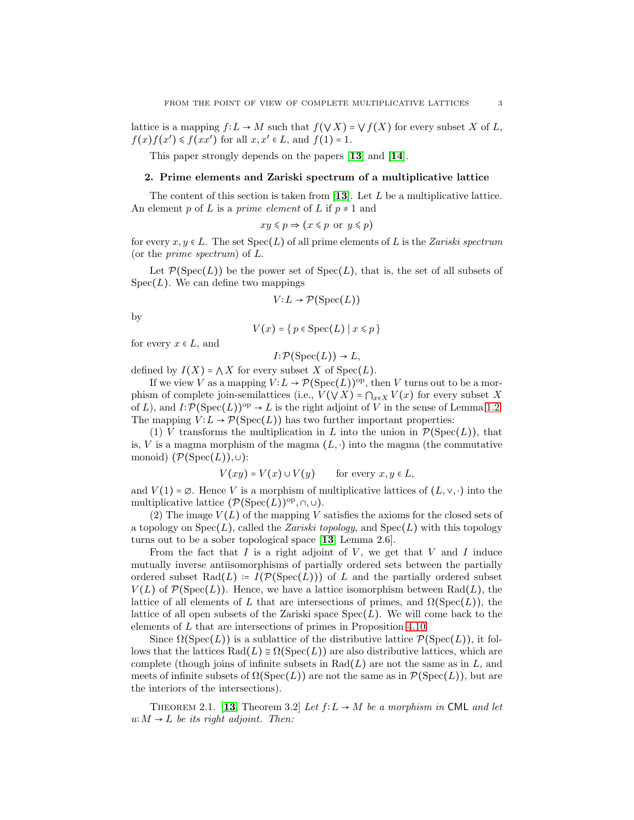lattice is a mapping  $f: L \to M$  such that  $f(\vee X) = \vee f(X)$  for every subset X of L,  $f(x)f(x') \leq f(xx')$  for all  $x, x' \in L$ , and  $f(1) = 1$ .

This paper strongly depends on the papers [[13](#page-17-6)] and [[14](#page-17-7)].

## <span id="page-2-0"></span>2. Prime elements and Zariski spectrum of a multiplicative lattice

The content of this section is taken from  $[13]$  $[13]$  $[13]$ . Let L be a multiplicative lattice. An element p of L is a *prime element* of L if  $p \neq 1$  and

$$
xy \leq p \Rightarrow (x \leq p \text{ or } y \leq p)
$$

for every  $x, y \in L$ . The set  $Spec(L)$  of all prime elements of L is the *Zariski spectrum* (or the *prime spectrum*) of L.

Let  $\mathcal{P}(\text{Spec}(L))$  be the power set of  $\text{Spec}(L)$ , that is, the set of all subsets of  $Spec(L)$ . We can define two mappings

$$
V: L \to \mathcal{P}(\operatorname{Spec}(L))
$$

by

$$
V(x) = \{ p \in \text{Spec}(L) \mid x \leq p \}
$$

for every  $x \in L$ , and

 $I: \mathcal{P}(\text{Spec}(L)) \to L,$ 

defined by  $I(X) = \bigwedge X$  for every subset X of Spec(L).

If we view V as a mapping  $V: L \to \mathcal{P}(\mathrm{Spec}(L))^{op}$ , then V turns out to be a morphism of complete join-semilattices (i.e.,  $V(\forall X) = \bigcap_{x \in X} V(x)$  for every subset X of L), and  $I: \mathcal{P}(\text{Spec}(L))^{op} \to L$  is the right adjoint of V in the sense of Lemma [1.2.](#page-1-0) The mapping  $V: L \to \mathcal{P}(\text{Spec}(L))$  has two further important properties:

(1) V transforms the multiplication in L into the union in  $\mathcal{P}(\text{Spec}(L))$ , that is, V is a magma morphism of the magma  $(L, \cdot)$  into the magma (the commutative monoid)  $(\mathcal{P}(\text{Spec}(L)), \cup)$ :

$$
V(xy) = V(x) \cup V(y) \quad \text{for every } x, y \in L,
$$

and  $V(1) = \emptyset$ . Hence V is a morphism of multiplicative lattices of  $(L, \vee, \cdot)$  into the multiplicative lattice  $(\mathcal{P}(\text{Spec}(L))^{\text{op}}, \cap, \cup)$ .

(2) The image  $V(L)$  of the mapping V satisfies the axioms for the closed sets of a topology on  $Spec(L)$ , called the *Zariski topology*, and  $Spec(L)$  with this topology turns out to be a sober topological space [[13](#page-17-6), Lemma 2.6].

From the fact that  $I$  is a right adjoint of  $V$ , we get that  $V$  and  $I$  induce mutually inverse antiisomorphisms of partially ordered sets between the partially ordered subset Rad(L) :=  $I(\mathcal{P}(\text{Spec}(L)))$  of L and the partially ordered subset  $V(L)$  of  $\mathcal{P}(\text{Spec}(L))$ . Hence, we have a lattice isomorphism between Rad(L), the lattice of all elements of L that are intersections of primes, and  $\Omega(Spec(L))$ , the lattice of all open subsets of the Zariski space  $Spec(L)$ . We will come back to the elements of L that are intersections of primes in Proposition [4.10.](#page-7-0)

Since  $\Omega(\text{Spec}(L))$  is a sublattice of the distributive lattice  $\mathcal{P}(\text{Spec}(L))$ , it follows that the lattices  $\text{Rad}(L) \cong \Omega(\text{Spec}(L))$  are also distributive lattices, which are complete (though joins of infinite subsets in  $Rad(L)$  are not the same as in L, and meets of infinite subsets of  $\Omega(\operatorname{Spec}(L))$  are not the same as in  $\mathcal{P}(\operatorname{Spec}(L))$ , but are the interiors of the intersections).

THEOREM 2.1. [[13](#page-17-6), Theorem 3.2] *Let*  $f: L \rightarrow M$  *be a morphism in* CML *and let*  $u: M \to L$  *be its right adjoint. Then:*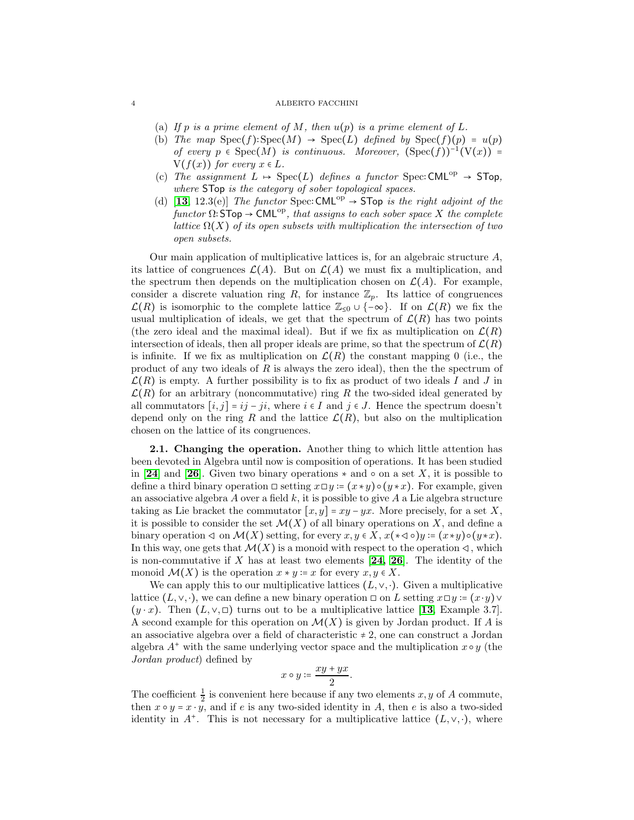- (a) If p is a prime element of M, then  $u(p)$  is a prime element of L.
- (b) *The map*  $Spec(f):Spec(M) \rightarrow Spec(L)$  *defined by*  $Spec(f)(p) = u(p)$ *of every*  $p \in \text{Spec}(M)$  *is continuous. Moreover,*  $(\text{Spec}(f))^{-1}(V(x)) =$  $V(f(x))$  *for every*  $x \in L$ *.*
- (c) The assignment  $L \rightarrow \text{Spec}(L)$  defines a functor Spec: CML<sup>op</sup>  $\rightarrow$  STop, *where* STop *is the category of sober topological spaces.*
- (d) [[13](#page-17-6), 12.3(e)] *The functor* Spec: CML<sup>op</sup>  $\rightarrow$  STop *is the right adjoint of the*  $functor \Omega: \mathsf{STOP} \to \mathsf{CML}^{\mathrm{op}},$  that assigns to each sober space X the complete *lattice*  $\Omega(X)$  *of its open subsets with multiplication the intersection of two open subsets.*

Our main application of multiplicative lattices is, for an algebraic structure  $A$ , its lattice of congruences  $\mathcal{L}(A)$ . But on  $\mathcal{L}(A)$  we must fix a multiplication, and the spectrum then depends on the multiplication chosen on  $\mathcal{L}(A)$ . For example, consider a discrete valuation ring R, for instance  $\mathbb{Z}_p$ . Its lattice of congruences  $\mathcal{L}(R)$  is isomorphic to the complete lattice  $\mathbb{Z}_{\leq 0} \cup \{-\infty\}$ . If on  $\mathcal{L}(R)$  we fix the usual multiplication of ideals, we get that the spectrum of  $\mathcal{L}(R)$  has two points (the zero ideal and the maximal ideal). But if we fix as multiplication on  $\mathcal{L}(R)$ intersection of ideals, then all proper ideals are prime, so that the spectrum of  $\mathcal{L}(R)$ is infinite. If we fix as multiplication on  $\mathcal{L}(R)$  the constant mapping 0 (i.e., the product of any two ideals of  $R$  is always the zero ideal), then the the spectrum of  $\mathcal{L}(R)$  is empty. A further possibility is to fix as product of two ideals I and J in  $\mathcal{L}(R)$  for an arbitrary (noncommutative) ring R the two-sided ideal generated by all commutators  $[i, j] = ij - ji$ , where  $i \in I$  and  $j \in J$ . Hence the spectrum doesn't depend only on the ring R and the lattice  $\mathcal{L}(R)$ , but also on the multiplication chosen on the lattice of its congruences.

<span id="page-3-0"></span>2.1. Changing the operation. Another thing to which little attention has been devoted in Algebra until now is composition of operations. It has been studied in [[24](#page-17-8)] and [[26](#page-17-9)]. Given two binary operations  $*$  and  $\circ$  on a set X, it is possible to define a third binary operation  $□$  setting  $x□y := (x * y) ∘ (y * x)$ . For example, given an associative algebra A over a field  $k$ , it is possible to give A a Lie algebra structure taking as Lie bracket the commutator  $[x, y] = xy - yx$ . More precisely, for a set X, it is possible to consider the set  $\mathcal{M}(X)$  of all binary operations on X, and define a binary operation  $\triangleleft$  on  $\mathcal{M}(X)$  setting, for every  $x, y \in X$ ,  $x(\star \triangleleft \circ) y := (x \star y) \circ (y \star x)$ . In this way, one gets that  $\mathcal{M}(X)$  is a monoid with respect to the operation  $\triangleleft$ , which is non-commutative if X has at least two elements  $[24, 26]$  $[24, 26]$  $[24, 26]$  $[24, 26]$ . The identity of the monoid  $\mathcal{M}(X)$  is the operation  $x * y = x$  for every  $x, y \in X$ .

We can apply this to our multiplicative lattices  $(L, \vee, \cdot)$ . Given a multiplicative lattice  $(L, \vee, \cdot)$ , we can define a new binary operation  $\Box$  on L setting  $x \Box y = (x \cdot y) \vee$  $(y \cdot x)$ . Then  $(L, \vee, \Box)$  turns out to be a multiplicative lattice [[13](#page-17-6), Example 3.7]. A second example for this operation on  $\mathcal{M}(X)$  is given by Jordan product. If A is an associative algebra over a field of characteristic  $\neq 2$ , one can construct a Jordan algebra  $A^+$  with the same underlying vector space and the multiplication  $x \circ y$  (the *Jordan product*) defined by

$$
x\circ y\coloneqq \frac{xy+yx}{2}.
$$

The coefficient  $\frac{1}{2}$  is convenient here because if any two elements x, y of A commute, then  $x \circ y = x \cdot y$ , and if e is any two-sided identity in A, then e is also a two-sided identity in  $A^+$ . This is not necessary for a multiplicative lattice  $(L, \vee, \cdot)$ , where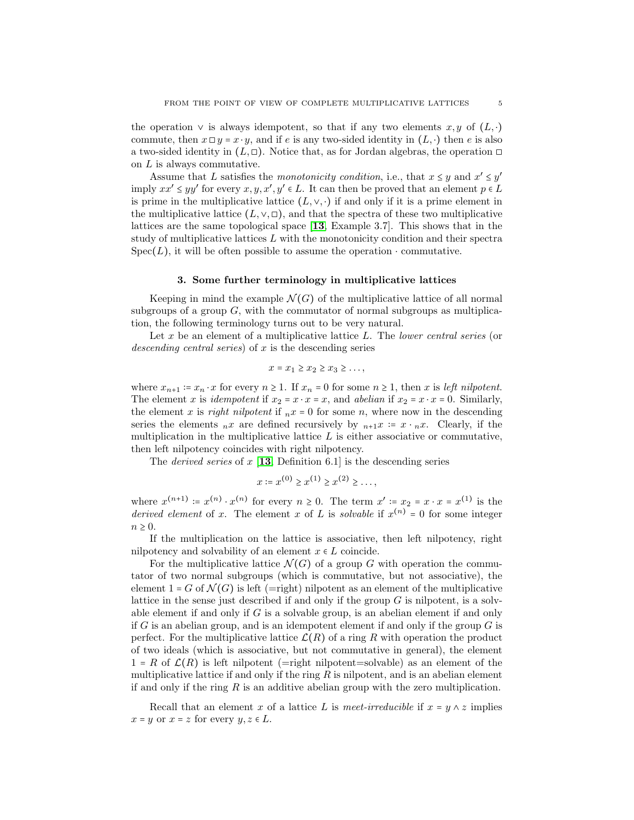the operation  $\vee$  is always idempotent, so that if any two elements  $x, y$  of  $(L, \cdot)$ commute, then  $x \Box y = x \cdot y$ , and if e is any two-sided identity in  $(L, \cdot)$  then e is also a two-sided identity in  $(L, \Box)$ . Notice that, as for Jordan algebras, the operation  $\Box$ on L is always commutative.

Assume that L satisfies the *monotonicity condition*, i.e., that  $x \leq y$  and  $x' \leq y'$ imply  $xx' \leq yy'$  for every  $x, y, x', y' \in L$ . It can then be proved that an element  $p \in L$ is prime in the multiplicative lattice  $(L, \vee, \cdot)$  if and only if it is a prime element in the multiplicative lattice  $(L, \vee, \Box)$ , and that the spectra of these two multiplicative lattices are the same topological space [[13](#page-17-6), Example 3.7]. This shows that in the study of multiplicative lattices  $L$  with the monotonicity condition and their spectra  $Spec(L)$ , it will be often possible to assume the operation  $\cdot$  commutative.

### 3. Some further terminology in multiplicative lattices

Keeping in mind the example  $\mathcal{N}(G)$  of the multiplicative lattice of all normal subgroups of a group  $G$ , with the commutator of normal subgroups as multiplication, the following terminology turns out to be very natural.

Let x be an element of a multiplicative lattice L. The *lower central series* (or *descending central series*) of x is the descending series

$$
x = x_1 \ge x_2 \ge x_3 \ge \dots,
$$

where  $x_{n+1} := x_n \cdot x$  for every  $n \ge 1$ . If  $x_n = 0$  for some  $n \ge 1$ , then x is *left nilpotent*. The element x is *idempotent* if  $x_2 = x \cdot x = x$ , and *abelian* if  $x_2 = x \cdot x = 0$ . Similarly, the element x is *right nilpotent* if  $_n x = 0$  for some n, where now in the descending series the elements  $_nx$  are defined recursively by  $_{n+1}x := x \cdot_n x$ . Clearly, if the multiplication in the multiplicative lattice  $L$  is either associative or commutative, then left nilpotency coincides with right nilpotency.

The *derived series* of  $x \in \mathbb{R}$  [[13](#page-17-6), Definition 6.1] is the descending series

$$
x \coloneqq x^{(0)} \ge x^{(1)} \ge x^{(2)} \ge \dots,
$$

where  $x^{(n+1)} = x^{(n)} \cdot x^{(n)}$  for every  $n \ge 0$ . The term  $x' = x_2 = x \cdot x = x^{(1)}$  is the *derived element* of x. The element x of L is *solvable* if  $x^{(n)} = 0$  for some integer  $n \geq 0$ .

If the multiplication on the lattice is associative, then left nilpotency, right nilpotency and solvability of an element  $x \in L$  coincide.

For the multiplicative lattice  $\mathcal{N}(G)$  of a group G with operation the commutator of two normal subgroups (which is commutative, but not associative), the element  $1-G$  of  $\mathcal{N}(G)$  is left (=right) nilpotent as an element of the multiplicative lattice in the sense just described if and only if the group  $G$  is nilpotent, is a solvable element if and only if  $G$  is a solvable group, is an abelian element if and only if G is an abelian group, and is an idempotent element if and only if the group  $G$  is perfect. For the multiplicative lattice  $\mathcal{L}(R)$  of a ring R with operation the product of two ideals (which is associative, but not commutative in general), the element  $1 = R$  of  $\mathcal{L}(R)$  is left nilpotent (=right nilpotent=solvable) as an element of the multiplicative lattice if and only if the ring  $R$  is nilpotent, and is an abelian element if and only if the ring  $R$  is an additive abelian group with the zero multiplication.

Recall that an element x of a lattice L is *meet-irreducible* if  $x = y \wedge z$  implies  $x = y$  or  $x = z$  for every  $y, z \in L$ .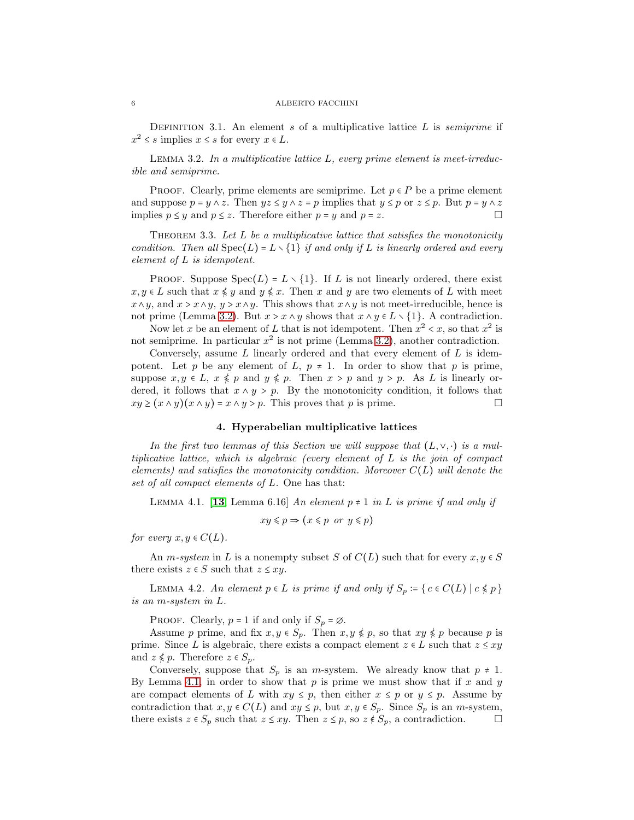DEFINITION 3.1. An element s of a multiplicative lattice L is *semiprime* if  $x^2 \leq s$  implies  $x \leq s$  for every  $x \in L$ .

<span id="page-5-0"></span>Lemma 3.2. *In a multiplicative lattice* L*, every prime element is meet-irreducible and semiprime.*

PROOF. Clearly, prime elements are semiprime. Let  $p \in P$  be a prime element and suppose  $p = y \wedge z$ . Then  $yz \leq y \wedge z = p$  implies that  $y \leq p$  or  $z \leq p$ . But  $p = y \wedge z$ implies  $p \leq y$  and  $p \leq z$ . Therefore either  $p = y$  and  $p = z$ .

Theorem 3.3. *Let* L *be a multiplicative lattice that satisfies the monotonicity condition. Then all*  $Spec(L) = L \setminus \{1\}$  *if and only if* L *is linearly ordered and every element of* L *is idempotent.*

PROOF. Suppose  $Spec(L) = L \setminus \{1\}$ . If L is not linearly ordered, there exist  $x, y \in L$  such that  $x \leq y$  and  $y \leq x$ . Then x and y are two elements of L with meet  $x \wedge y$ , and  $x > x \wedge y$ ,  $y > x \wedge y$ . This shows that  $x \wedge y$  is not meet-irreducible, hence is not prime (Lemma [3.2\)](#page-5-0). But  $x > x \land y$  shows that  $x \land y \in L \setminus \{1\}$ . A contradiction.

Now let x be an element of L that is not idempotent. Then  $x^2 < x$ , so that  $x^2$  is not semiprime. In particular  $x^2$  is not prime (Lemma [3.2\)](#page-5-0), another contradiction.

Conversely, assume  $L$  linearly ordered and that every element of  $L$  is idempotent. Let p be any element of L,  $p \neq 1$ . In order to show that p is prime, suppose  $x, y \in L$ ,  $x \leq p$  and  $y \leq p$ . Then  $x > p$  and  $y > p$ . As L is linearly ordered, it follows that  $x \wedge y \geq p$ . By the monotonicity condition, it follows that  $xy \ge (x \wedge y)(x \wedge y) = x \wedge y > p$ . This proves that p is prime.

## 4. Hyperabelian multiplicative lattices

*In the first two lemmas of this Section we will suppose that*  $(L, \vee, \cdot)$  *is a multiplicative lattice, which is algebraic (every element of* L *is the join of compact elements) and satisfies the monotonicity condition. Moreover* C(L) *will denote the set of all compact elements of* L*.* One has that:

<span id="page-5-1"></span>LEMMA 4.1. [[13](#page-17-6), Lemma 6.16] An element  $p \neq 1$  in L is prime if and only if

$$
xy \leq p \Rightarrow (x \leq p \text{ or } y \leq p)
$$

*for every*  $x, y \in C(L)$ .

An *m*-system in L is a nonempty subset S of  $C(L)$  such that for every  $x, y \in S$ there exists  $z \in S$  such that  $z \leq xy$ .

<span id="page-5-2"></span>LEMMA 4.2. *An element*  $p \in L$  *is prime if and only if*  $S_p := \{ c \in C(L) \mid c \leq p \}$ *is an* m*-system in* L*.*

PROOF. Clearly,  $p = 1$  if and only if  $S_p = \emptyset$ .

Assume p prime, and fix  $x, y \in S_p$ . Then  $x, y \notin p$ , so that  $xy \notin p$  because p is prime. Since L is algebraic, there exists a compact element  $z \in L$  such that  $z \leq xy$ and  $z \notin p$ . Therefore  $z \in S_p$ .

Conversely, suppose that  $S_p$  is an *m*-system. We already know that  $p \neq 1$ . By Lemma [4.1,](#page-5-1) in order to show that  $p$  is prime we must show that if  $x$  and  $y$ are compact elements of L with  $xy \leq p$ , then either  $x \leq p$  or  $y \leq p$ . Assume by contradiction that  $x, y \in C(L)$  and  $xy \leq p$ , but  $x, y \in S_p$ . Since  $S_p$  is an *m*-system, there exists  $z \in S_p$  such that  $z \leq xy$ . Then  $z \leq p$ , so  $z \notin S_p$ , a contradiction.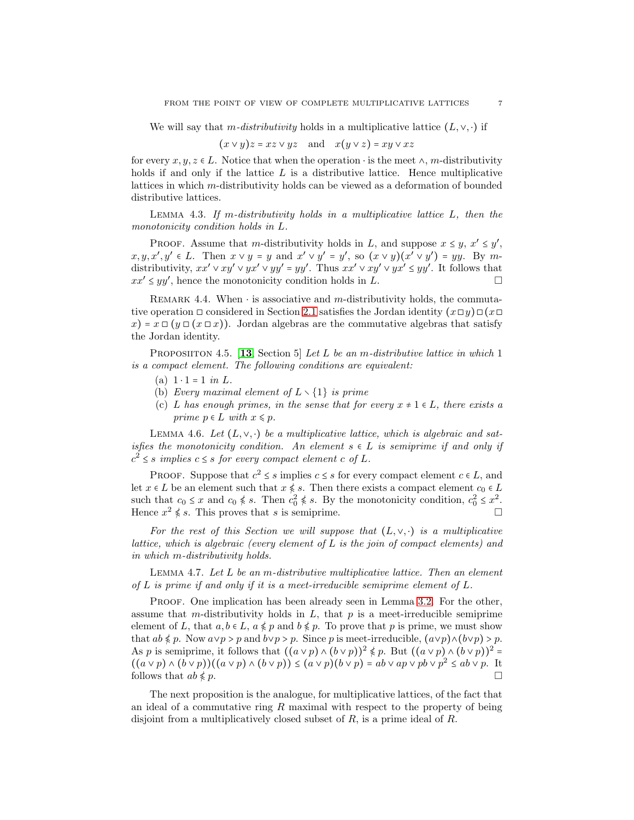We will say that m-*distributivity* holds in a multiplicative lattice  $(L, \vee, \cdot)$  if

$$
(x \lor y)z = xz \lor yz
$$
 and  $x(y \lor z) = xy \lor xz$ 

for every  $x, y, z \in L$ . Notice that when the operation  $\cdot$  is the meet  $\wedge$ , m-distributivity holds if and only if the lattice  $L$  is a distributive lattice. Hence multiplicative lattices in which m-distributivity holds can be viewed as a deformation of bounded distributive lattices.

<span id="page-6-0"></span>Lemma 4.3. *If* m*-distributivity holds in a multiplicative lattice* L*, then the monotonicity condition holds in* L*.*

PROOF. Assume that m-distributivity holds in L, and suppose  $x \leq y, x' \leq y'$ ,  $x, y, x', y' \in L$ . Then  $x \vee y = y$  and  $x' \vee y' = y'$ , so  $(x \vee y)(x' \vee y') = yy$ . By mdistributivity,  $xx' \vee xy' \vee yx' \vee yy' = yy'$ . Thus  $xx' \vee xy' \vee yx' \leq yy'$ . It follows that  $xx' \leq yy'$ , hence the monotonicity condition holds in  $\tilde{L}$ .

REMARK 4.4. When  $\cdot$  is associative and m-distributivity holds, the commutative operation  $\Box$  considered in Section [2.1](#page-3-0) satisfies the Jordan identity  $(x \Box y) \Box (x \Box$  $x(x) = x \Box (y \Box (x \Box x))$ . Jordan algebras are the commutative algebras that satisfy the Jordan identity.

Proposiiton 4.5. [[13](#page-17-6), Section 5] *Let* L *be an* m*-distributive lattice in which* 1 *is a compact element. The following conditions are equivalent:*

- (a)  $1 \cdot 1 = 1$  *in* L.
- (b) *Every maximal element of* L ∖ {1} *is prime*
- (c) L has enough primes, in the sense that for every  $x \neq 1 \in L$ , there exists a *prime*  $p \in L$  *with*  $x \leq p$ *.*

LEMMA 4.6. Let  $(L, \vee, \cdot)$  be a multiplicative lattice, which is algebraic and sat*isfies the monotonicity condition. An element*  $s \in L$  *is semiprime if and only if*  $c^2 \leq s$  *implies*  $c \leq s$  *for every compact element*  $c$  *of*  $L$ *.* 

PROOF. Suppose that  $c^2 \leq s$  implies  $c \leq s$  for every compact element  $c \in L$ , and let  $x \in L$  be an element such that  $x \nleq s$ . Then there exists a compact element  $c_0 \in L$ such that  $c_0 \leq x$  and  $c_0 \nleq s$ . Then  $c_0^2 \nleq s$ . By the monotonicity condition,  $c_0^2 \leq x^2$ . Hence  $x^2 \nless s$ . This proves that s is semiprime.

For the rest of this Section we will suppose that  $(L, \vee, \cdot)$  *is a multiplicative lattice, which is algebraic (every element of* L *is the join of compact elements) and in which* m*-distributivity holds.*

Lemma 4.7. *Let* L *be an* m*-distributive multiplicative lattice. Then an element of* L *is prime if and only if it is a meet-irreducible semiprime element of* L*.*

PROOF. One implication has been already seen in Lemma [3.2.](#page-5-0) For the other, assume that m-distributivity holds in  $L$ , that  $p$  is a meet-irreducible semiprime element of L, that  $a, b \in L$ ,  $a \not\leq p$  and  $b \not\leq p$ . To prove that p is prime, we must show that  $ab \leq p$ . Now  $a \vee p > p$  and  $b \vee p > p$ . Since p is meet-irreducible,  $(a \vee p) \wedge (b \vee p) > p$ . As p is semiprime, it follows that  $((a \vee p) \wedge (b \vee p))^2 \nless p$ . But  $((a \vee p) \wedge (b \vee p))^2$  =  $((a \vee p) \wedge (b \vee p))((a \vee p) \wedge (b \vee p)) \leq (a \vee p)(b \vee p) = ab \vee ap \vee pb \vee p^2 \leq ab \vee p$ . It follows that  $ab \notin p$ .

The next proposition is the analogue, for multiplicative lattices, of the fact that an ideal of a commutative ring  $R$  maximal with respect to the property of being disjoint from a multiplicatively closed subset of  $R$ , is a prime ideal of  $R$ .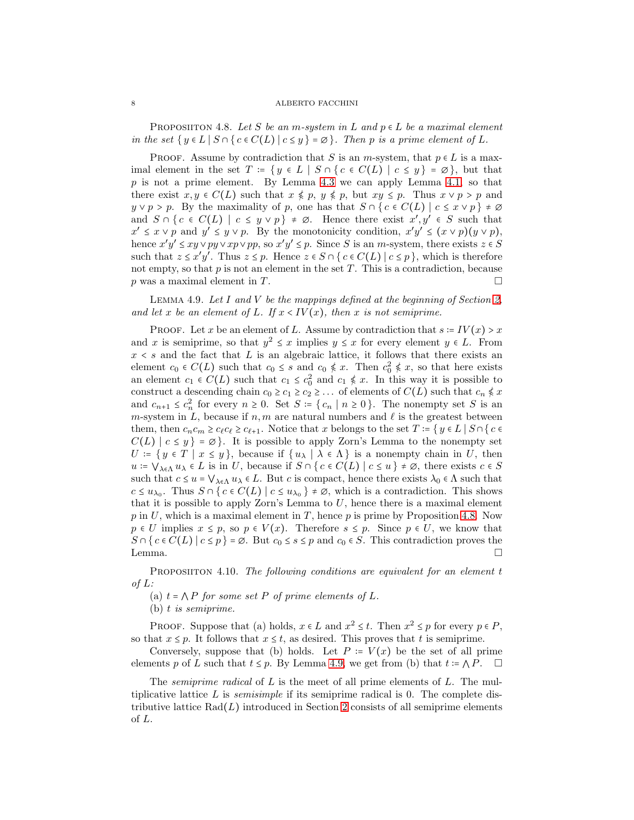<span id="page-7-1"></span>PROPOSIITON 4.8. Let S be an m-system in L and  $p \in L$  be a maximal element *in the set*  $\{y \in L \mid S \cap \{c \in C(L) \mid c \leq y\} = \emptyset\}$ *. Then* p *is a prime element of* L.

PROOF. Assume by contradiction that S is an m-system, that  $p \in L$  is a maximal element in the set  $T = \{ y \in L \mid S \cap \{ c \in C(L) \mid c \leq y \} = \emptyset \}$ , but that  $p$  is not a prime element. By Lemma [4.3](#page-6-0) we can apply Lemma [4.1,](#page-5-1) so that there exist  $x, y \in C(L)$  such that  $x \notin p, y \notin p$ , but  $xy \leq p$ . Thus  $x \vee p > p$  and  $y \vee p > p$ . By the maximality of p, one has that  $S \cap \{c \in C(L) \mid c \leq x \vee p\} \neq \emptyset$ and  $S \cap \{c \in C(L) \mid c \leq y \vee p\} \neq \emptyset$ . Hence there exist  $x', y' \in S$  such that  $x' \leq x \vee p$  and  $y' \leq y \vee p$ . By the monotonicity condition,  $x'y' \leq (x \vee p)(y \vee p)$ , hence  $x'y' \leq xy \vee py \vee xp \vee pp$ , so  $x'y' \leq p$ . Since S is an m-system, there exists  $z \in S$ such that  $z \leq x'y'$ . Thus  $z \leq p$ . Hence  $z \in S \cap \{c \in C(L) \mid c \leq p\}$ , which is therefore not empty, so that  $p$  is not an element in the set  $T$ . This is a contradiction, because p was a maximal element in T.

<span id="page-7-2"></span>Lemma 4.9. *Let* I *and* V *be the mappings defined at the beginning of Section [2,](#page-2-0)* and let x be an element of L. If  $x \leq IV(x)$ , then x is not semiprime.

PROOF. Let x be an element of L. Assume by contradiction that  $s = IV(x) > x$ and x is semiprime, so that  $y^2 \leq x$  implies  $y \leq x$  for every element  $y \in L$ . From  $x \leq s$  and the fact that L is an algebraic lattice, it follows that there exists an element  $c_0 \in C(L)$  such that  $c_0 \leq s$  and  $c_0 \notin x$ . Then  $c_0^2 \notin x$ , so that here exists an element  $c_1 \in C(L)$  such that  $c_1 \leq c_0^2$  and  $c_1 \nleq x$ . In this way it is possible to construct a descending chain  $c_0 \geq c_1 \geq c_2 \geq \ldots$  of elements of  $C(L)$  such that  $c_n \nleq x$ and  $c_{n+1} \leq c_n^2$  for every  $n \geq 0$ . Set  $S := \{c_n \mid n \geq 0\}$ . The nonempty set S is an m-system in L, because if  $n, m$  are natural numbers and  $\ell$  is the greatest between them, then  $c_n c_m \geq c_\ell c_\ell \geq c_{\ell+1}$ . Notice that x belongs to the set  $T := \{ y \in L \mid S \cap \{ c \in$  $C(L) | c \leq y$  =  $\varnothing$ . It is possible to apply Zorn's Lemma to the nonempty set  $U = \{ y \in T \mid x \leq y \},\$ because if  $\{ u_{\lambda} \mid \lambda \in \Lambda \}$  is a nonempty chain in U, then  $u = \bigvee_{\lambda \in \Lambda} u_{\lambda} \in L$  is in U, because if  $S \cap \{c \in C(L) \mid c \leq u\} \neq \emptyset$ , there exists  $c \in S$ such that  $c \leq u = \bigvee_{\lambda \in \Lambda} u_{\lambda} \in L$ . But c is compact, hence there exists  $\lambda_0 \in \Lambda$  such that  $c \leq u_{\lambda_0}$ . Thus  $S \cap \{c \in C(L) \mid c \leq u_{\lambda_0}\} \neq \emptyset$ , which is a contradiction. This shows that it is possible to apply Zorn's Lemma to  $U$ , hence there is a maximal element  $p$  in U, which is a maximal element in T, hence  $p$  is prime by Proposition [4.8.](#page-7-1) Now  $p \in U$  implies  $x \leq p$ , so  $p \in V(x)$ . Therefore  $s \leq p$ . Since  $p \in U$ , we know that  $S \cap \{c \in C(L) \mid c \leq p\} = \emptyset$ . But  $c_0 \leq s \leq p$  and  $c_0 \in S$ . This contradiction proves the Lemma.  $\square$ 

<span id="page-7-0"></span>Proposiiton 4.10. *The following conditions are equivalent for an element* t *of* L*:*

(a)  $t = \bigwedge P$  *for some set* P *of prime elements of* L.

(b) t *is semiprime.*

PROOF. Suppose that (a) holds,  $x \in L$  and  $x^2 \leq t$ . Then  $x^2 \leq p$  for every  $p \in P$ , so that  $x \leq p$ . It follows that  $x \leq t$ , as desired. This proves that t is semiprime.

Conversely, suppose that (b) holds. Let  $P = V(x)$  be the set of all prime elements p of L such that  $t \leq p$ . By Lemma [4.9,](#page-7-2) we get from (b) that  $t = \bigwedge P$ .  $\square$ 

The *semiprime radical* of L is the meet of all prime elements of L. The multiplicative lattice L is *semisimple* if its semiprime radical is 0. The complete distributive lattice  $\text{Rad}(L)$  introduced in Section [2](#page-2-0) consists of all semiprime elements of L.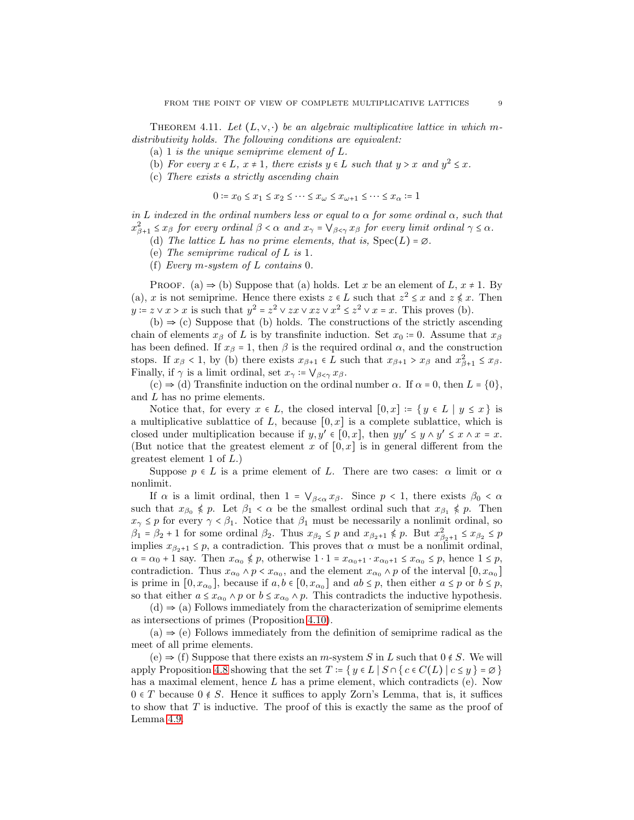<span id="page-8-0"></span>THEOREM 4.11. Let  $(L, \vee, \cdot)$  be an algebraic multiplicative lattice in which m*distributivity holds. The following conditions are equivalent:*

(a) 1 *is the unique semiprime element of* L*.*

(b) *For every*  $x \in L$ *,*  $x \ne 1$ *, there exists*  $y \in L$  *such that*  $y > x$  *and*  $y^2 \le x$ *.* 

(c) *There exists a strictly ascending chain*

$$
0\coloneqq x_0\leq x_1\leq x_2\leq\cdots\leq x_\omega\leq x_{\omega+1}\leq\cdots\leq x_\alpha\coloneqq 1
$$

*in* L *indexed in the ordinal numbers less or equal to* α *for some ordinal* α*, such that*  $x_{\beta+1}^2 \leq x_{\beta}$  for every ordinal  $\beta < \alpha$  and  $x_{\gamma} = \bigvee_{\beta < \gamma} x_{\beta}$  for every limit ordinal  $\gamma \leq \alpha$ .

(d) *The lattice* L has no prime elements, that is,  $Spec(L) = \emptyset$ .

(e) *The semiprime radical of* L *is* 1*.*

(f) *Every* m*-system of* L *contains* 0*.*

PROOF. (a)  $\Rightarrow$  (b) Suppose that (a) holds. Let x be an element of L,  $x \ne 1$ . By (a), x is not semiprime. Hence there exists  $z \in L$  such that  $z^2 \leq x$  and  $z \nleq x$ . Then  $y = z \vee x > x$  is such that  $y^2 = z^2 \vee zx \vee xz \vee x^2 \leq z^2 \vee x = x$ . This proves (b).

 $(b) \Rightarrow (c)$  Suppose that  $(b)$  holds. The constructions of the strictly ascending chain of elements  $x_\beta$  of L is by transfinite induction. Set  $x_0 := 0$ . Assume that  $x_\beta$ has been defined. If  $x_\beta = 1$ , then  $\beta$  is the required ordinal  $\alpha$ , and the construction stops. If  $x_{\beta} < 1$ , by (b) there exists  $x_{\beta+1} \in L$  such that  $x_{\beta+1} > x_{\beta}$  and  $x_{\beta+1}^2 \le x_{\beta}$ . Finally, if  $\gamma$  is a limit ordinal, set  $x_{\gamma}$  :=  $\bigvee_{\beta < \gamma} x_{\beta}$ .

(c)  $\Rightarrow$  (d) Transfinite induction on the ordinal number  $\alpha$ . If  $\alpha = 0$ , then  $L = \{0\}$ , and L has no prime elements.

Notice that, for every  $x \in L$ , the closed interval  $[0, x] := \{y \in L \mid y \leq x\}$  is a multiplicative sublattice of L, because  $[0, x]$  is a complete sublattice, which is closed under multiplication because if  $y, y' \in [0, x]$ , then  $yy' \leq y \wedge y' \leq x \wedge x = x$ . (But notice that the greatest element x of  $[0, x]$  is in general different from the greatest element 1 of L.)

Suppose  $p \in L$  is a prime element of L. There are two cases:  $\alpha$  limit or  $\alpha$ nonlimit.

If  $\alpha$  is a limit ordinal, then  $1 = \vee_{\beta < \alpha} x_{\beta}$ . Since  $p < 1$ , there exists  $\beta_0 < \alpha$ such that  $x_{\beta_0} \nleq p$ . Let  $\beta_1 < \alpha$  be the smallest ordinal such that  $x_{\beta_1} \nleq p$ . Then  $x_{\gamma} \leq p$  for every  $\gamma < \beta_1$ . Notice that  $\beta_1$  must be necessarily a nonlimit ordinal, so  $\beta_1 = \beta_2 + 1$  for some ordinal  $\beta_2$ . Thus  $x_{\beta_2} \leq p$  and  $x_{\beta_2+1} \nleq p$ . But  $x_{\beta_2+1}^2 \leq x_{\beta_2} \leq p$ implies  $x_{\beta_2+1} \leq p$ , a contradiction. This proves that  $\alpha$  must be a nonlimit ordinal,  $\alpha = \alpha_0 + 1$  say. Then  $x_{\alpha_0} \nleq p$ , otherwise  $1 \cdot 1 = x_{\alpha_0+1} \cdot x_{\alpha_0+1} \leq x_{\alpha_0} \leq p$ , hence  $1 \leq p$ , contradiction. Thus  $x_{\alpha_0} \wedge p \le x_{\alpha_0}$ , and the element  $x_{\alpha_0} \wedge p$  of the interval  $[0, x_{\alpha_0}]$ is prime in  $[0, x_{\alpha_0}]$ , because if  $a, b \in [0, x_{\alpha_0}]$  and  $ab \leq p$ , then either  $a \leq p$  or  $b \leq p$ , so that either  $a \leq x_{\alpha_0} \wedge p$  or  $b \leq x_{\alpha_0} \wedge p$ . This contradicts the inductive hypothesis.

 $(d) \Rightarrow$  (a) Follows immediately from the characterization of semiprime elements as intersections of primes (Proposition [4.10\)](#page-7-0).

 $(a) \Rightarrow (e)$  Follows immediately from the definition of semiprime radical as the meet of all prime elements.

 $(e) \Rightarrow f$  Suppose that there exists an m-system S in L such that  $0 \notin S$ . We will apply Proposition [4.8](#page-7-1) showing that the set  $T := \{ y \in L \mid S \cap \{ c \in C(L) \mid c \leq y \} = \emptyset \}$ has a maximal element, hence  $L$  has a prime element, which contradicts (e). Now  $0 \in T$  because  $0 \notin S$ . Hence it suffices to apply Zorn's Lemma, that is, it suffices to show that  $T$  is inductive. The proof of this is exactly the same as the proof of Lemma [4.9.](#page-7-2)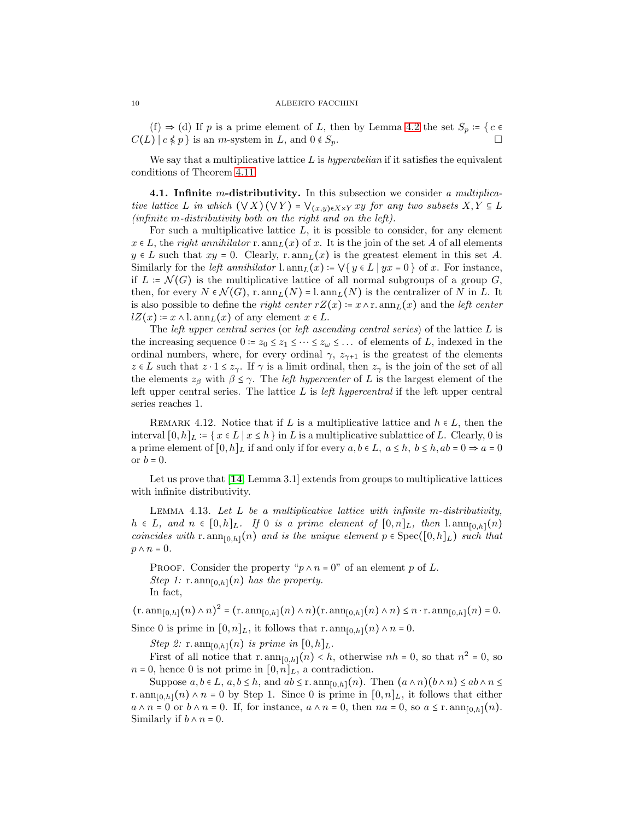(f)  $\Rightarrow$  (d) If p is a prime element of L, then by Lemma [4.2](#page-5-2) the set  $S_p = \{c \in$  $C(L)$   $c \notin p$  is an *m*-system in L, and  $0 \notin S_p$ .

We say that a multiplicative lattice L is *hyperabelian* if it satisfies the equivalent conditions of Theorem [4.11.](#page-8-0)

4.1. Infinite m-distributivity. In this subsection we consider *a multiplicative lattice* L *in which*  $(\forall X)(\forall Y) = \forall_{(x,y)\in X\times Y} xy$  *for any two subsets*  $X, Y \subseteq L$ *(infinite* m*-distributivity both on the right and on the left).*

For such a multiplicative lattice  $L$ , it is possible to consider, for any element  $x \in L$ , the *right annihilator* r. ann<sub>L</sub>(x) of x. It is the join of the set A of all elements  $y \in L$  such that  $xy = 0$ . Clearly, r.  $ann_L(x)$  is the greatest element in this set A. Similarly for the *left annihilator* l.  $ann_L(x) = \forall \{y \in L \mid yx = 0\}$  of x. For instance, if  $L = \mathcal{N}(G)$  is the multiplicative lattice of all normal subgroups of a group G, then, for every  $N \in \mathcal{N}(G)$ , r.  $ann_L(N) = l.$   $ann_L(N)$  is the centralizer of N in L. It is also possible to define the *right center*  $rZ(x) = x \wedge r$ . ann  $L(x)$  and the *left center*  $lZ(x) = x \wedge l.$  ann $L(x)$  of any element  $x \in L$ .

The *left upper central series* (or *left ascending central series*) of the lattice L is the increasing sequence  $0 = z_0 \leq z_1 \leq \cdots \leq z_\omega \leq \ldots$  of elements of L, indexed in the ordinal numbers, where, for every ordinal  $\gamma$ ,  $z_{\gamma+1}$  is the greatest of the elements  $z \in L$  such that  $z \cdot 1 \leq z_{\gamma}$ . If  $\gamma$  is a limit ordinal, then  $z_{\gamma}$  is the join of the set of all the elements  $z_\beta$  with  $\beta \leq \gamma$ . The *left hypercenter* of L is the largest element of the left upper central series. The lattice L is *left hypercentral* if the left upper central series reaches 1.

REMARK 4.12. Notice that if L is a multiplicative lattice and  $h \in L$ , then the interval  $[0, h]_L = \{x \in L \mid x \leq h\}$  in L is a multiplicative sublattice of L. Clearly, 0 is a prime element of  $[0, h]_L$  if and only if for every  $a, b \in L$ ,  $a \leq h$ ,  $b \leq h$ ,  $ab = 0 \Rightarrow a = 0$ or  $b = 0$ .

Let us prove that [[14](#page-17-7), Lemma 3.1] extends from groups to multiplicative lattices with infinite distributivity.

Lemma 4.13. *Let* L *be a multiplicative lattice with infinite* m*-distributivity,*  $h ∈ L$ *, and*  $n ∈ [0,h]_L$ *.* If 0 *is a prime element of*  $[0,n]_L$ *, then* l. ann<sub>[0,h]</sub>(n) *coincides with* r.  $ann_{[0,h]}(n)$  *and is the unique element*  $p \in Spec([0,h]_L)$  *such that*  $p \wedge n = 0$ .

PROOF. Consider the property " $p \wedge n = 0$ " of an element p of L. *Step 1:*  $r.$  ann $_{[0,h]}(n)$  *has the property.* In fact,

 $(\text{r.} \operatorname{ann}_{[0,h]}(n) \wedge n)^2 = (\text{r.} \operatorname{ann}_{[0,h]}(n) \wedge n)(\text{r.} \operatorname{ann}_{[0,h]}(n) \wedge n) \leq n \cdot \text{r.} \operatorname{ann}_{[0,h]}(n) = 0.$ Since 0 is prime in  $[0, n]_L$ , it follows that r.  $ann_{[0,h]}(n) \wedge n = 0$ .

*Step 2:* r. ann<sub>[0,h]</sub> $(n)$  *is prime in*  $[0,h]_L$ .

First of all notice that  $r.\operatorname{ann}_{[0,h]}(n) < h$ , otherwise  $nh = 0$ , so that  $n^2 = 0$ , so  $n = 0$ , hence 0 is not prime in  $[0, n]_L$ , a contradiction.

Suppose  $a, b \in L$ ,  $a, b \leq h$ , and  $ab \leq r$ .  $\text{ann}_{[0,h]}(n)$ . Then  $(a \wedge n)(b \wedge n) \leq ab \wedge n \leq$ r.  $ann_{[0,h]}(n) \wedge n = 0$  by Step 1. Since 0 is prime in  $[0,n]_L$ , it follows that either  $a \wedge n = 0$  or  $b \wedge n = 0$ . If, for instance,  $a \wedge n = 0$ , then  $na = 0$ , so  $a \leq r$ .  $\text{ann}_{[0,h]}(n)$ . Similarly if  $b \wedge n = 0$ .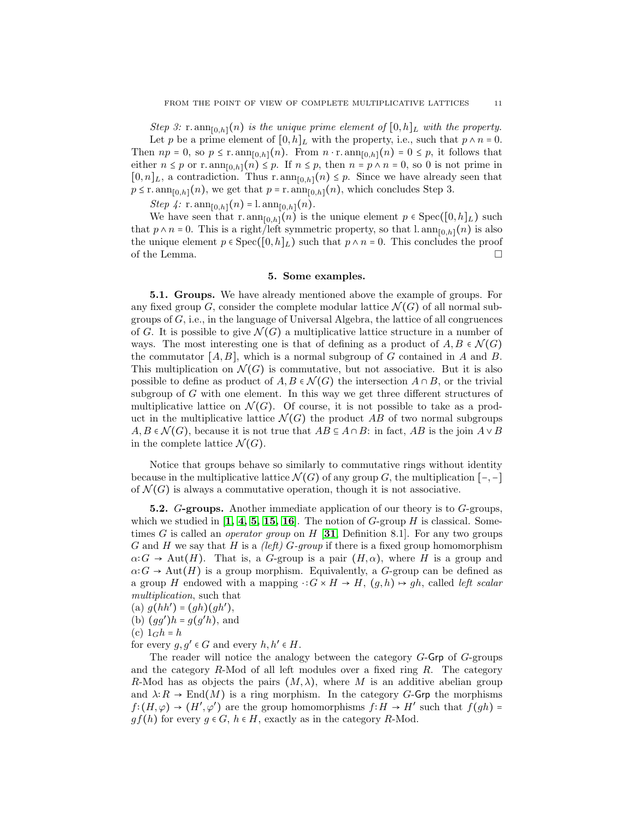*Step 3:* r.  $ann_{[0,h]}(n)$  *is the unique prime element of*  $[0,h]_L$  *with the property.* 

Let p be a prime element of  $[0,h]_L$  with the property, i.e., such that  $p \wedge n = 0$ . Then  $np = 0$ , so  $p \le r \tanh_{[0,h]}(n)$ . From  $n \cdot r \cdot \tanh_{[0,h]}(n) = 0 \le p$ , it follows that either  $n \leq p$  or r.  $ann_{[0,h]}(n) \leq p$ . If  $n \leq p$ , then  $n = p \wedge n = 0$ , so 0 is not prime in  $[0, n]_L$ , a contradiction. Thus r.  $ann_{[0,h]}(n) \leq p$ . Since we have already seen that  $p \leq r \cdot \text{ann}_{[0,h]}(n)$ , we get that  $p = r \cdot \text{ann}_{[0,h]}(n)$ , which concludes Step 3.

*Step 4:*  $r.$   $\text{ann}_{[0,h]}(n) = l.\$  $\text{ann}_{[0,h]}(n)$ .

We have seen that r.  $ann_{[0,h]}(n)$  is the unique element  $p \in Spec([0,h]_L)$  such that  $p \wedge n = 0$ . This is a right/left symmetric property, so that l.  $ann_{[0,h]}(n)$  is also the unique element  $p \in \text{Spec}([0,h]_L)$  such that  $p \wedge n = 0$ . This concludes the proof of the Lemma.  $\Box$ 

## 5. Some examples.

5.1. Groups. We have already mentioned above the example of groups. For any fixed group G, consider the complete modular lattice  $\mathcal{N}(G)$  of all normal subgroups of  $G$ , i.e., in the language of Universal Algebra, the lattice of all congruences of G. It is possible to give  $\mathcal{N}(G)$  a multiplicative lattice structure in a number of ways. The most interesting one is that of defining as a product of  $A, B \in \mathcal{N}(G)$ the commutator  $[A, B]$ , which is a normal subgroup of G contained in A and B. This multiplication on  $\mathcal{N}(G)$  is commutative, but not associative. But it is also possible to define as product of  $A, B \in \mathcal{N}(G)$  the intersection  $A \cap B$ , or the trivial subgroup of G with one element. In this way we get three different structures of multiplicative lattice on  $\mathcal{N}(G)$ . Of course, it is not possible to take as a product in the multiplicative lattice  $\mathcal{N}(G)$  the product AB of two normal subgroups  $A, B \in \mathcal{N}(G)$ , because it is not true that  $AB \subseteq A \cap B$ : in fact,  $AB$  is the join  $A \vee B$ in the complete lattice  $\mathcal{N}(G)$ .

Notice that groups behave so similarly to commutative rings without identity because in the multiplicative lattice  $\mathcal{N}(G)$  of any group G, the multiplication  $[-,-]$ of  $\mathcal{N}(G)$  is always a commutative operation, though it is not associative.

**5.2.** G-groups. Another immediate application of our theory is to  $G$ -groups, which we studied in  $\left[1, 4, 5, 15, 16\right]$  $\left[1, 4, 5, 15, 16\right]$  $\left[1, 4, 5, 15, 16\right]$  $\left[1, 4, 5, 15, 16\right]$  $\left[1, 4, 5, 15, 16\right]$  $\left[1, 4, 5, 15, 16\right]$  $\left[1, 4, 5, 15, 16\right]$ . The notion of G-group H is classical. Sometimes G is called an *operator group* on H [[31](#page-17-12), Definition 8.1]. For any two groups G and H we say that H is a *(left)* G*-group* if there is a fixed group homomorphism  $\alpha$ :  $G \to \text{Aut}(H)$ . That is, a G-group is a pair  $(H, \alpha)$ , where H is a group and  $\alpha$ :  $G \to \text{Aut}(H)$  is a group morphism. Equivalently, a G-group can be defined as a group H endowed with a mapping  $\cdot : G \times H \to H$ ,  $(g,h) \mapsto gh$ , called *left scalar multiplication*, such that

- (a)  $g(hh') = (gh)(gh'),$
- (b)  $(gg')h = g(g'h)$ , and

(c)  $1_Gh = h$ 

for every  $g, g' \in G$  and every  $h, h' \in H$ .

The reader will notice the analogy between the category G-Grp of G-groups and the category  $R$ -Mod of all left modules over a fixed ring  $R$ . The category R-Mod has as objects the pairs  $(M, \lambda)$ , where M is an additive abelian group and  $\lambda: R \to \text{End}(M)$  is a ring morphism. In the category G-Grp the morphisms  $f:(H,\varphi) \to (H',\varphi')$  are the group homomorphisms  $f: H \to H'$  such that  $f(gh) =$  $gf(h)$  for every  $g \in G$ ,  $h \in H$ , exactly as in the category R-Mod.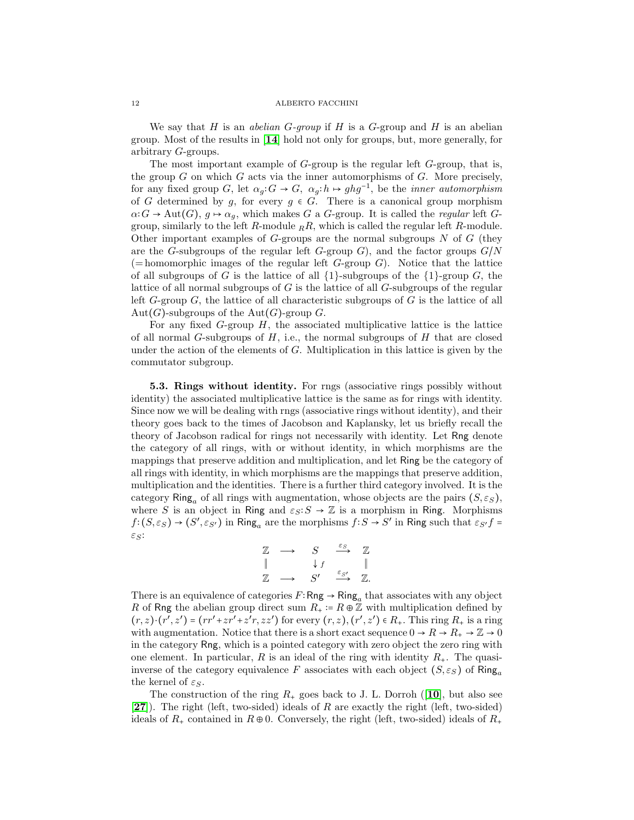We say that H is an *abelian* G*-group* if H is a G-group and H is an abelian group. Most of the results in [[14](#page-17-7)] hold not only for groups, but, more generally, for arbitrary G-groups.

The most important example of G-group is the regular left G-group, that is, the group  $G$  on which  $G$  acts via the inner automorphisms of  $G$ . More precisely, for any fixed group G, let  $\alpha_g: G \to G$ ,  $\alpha_g: h \to ghg^{-1}$ , be the *inner automorphism* of G determined by g, for every  $g \in G$ . There is a canonical group morphism  $\alpha$ **:**  $G \rightarrow$  Aut( $G$ ),  $g \mapsto \alpha_g$ , which makes G a G-group. It is called the *regular* left Ggroup, similarly to the left R-module  $_R$ R, which is called the regular left R-module. Other important examples of  $G$ -groups are the normal subgroups  $N$  of  $G$  (they are the G-subgroups of the regular left G-group G), and the factor groups  $G/N$  $(=$  homomorphic images of the regular left  $G$ -group  $G$ ). Notice that the lattice of all subgroups of G is the lattice of all  $\{1\}$ -subgroups of the  $\{1\}$ -group G, the lattice of all normal subgroups of G is the lattice of all G-subgroups of the regular left  $G$ -group  $G$ , the lattice of all characteristic subgroups of  $G$  is the lattice of all  $Aut(G)$ -subgroups of the  $Aut(G)$ -group G.

For any fixed  $G$ -group  $H$ , the associated multiplicative lattice is the lattice of all normal G-subgroups of  $H$ , i.e., the normal subgroups of  $H$  that are closed under the action of the elements of  $G$ . Multiplication in this lattice is given by the commutator subgroup.

5.3. Rings without identity. For rngs (associative rings possibly without identity) the associated multiplicative lattice is the same as for rings with identity. Since now we will be dealing with rngs (associative rings without identity), and their theory goes back to the times of Jacobson and Kaplansky, let us briefly recall the theory of Jacobson radical for rings not necessarily with identity. Let Rng denote the category of all rings, with or without identity, in which morphisms are the mappings that preserve addition and multiplication, and let Ring be the category of all rings with identity, in which morphisms are the mappings that preserve addition, multiplication and the identities. There is a further third category involved. It is the category Ring<sub>a</sub> of all rings with augmentation, whose objects are the pairs  $(S, \varepsilon_S)$ , where S is an object in Ring and  $\varepsilon_S$ :  $S \to \mathbb{Z}$  is a morphism in Ring. Morphisms  $f:(S,\varepsilon_S) \to (S',\varepsilon_{S'})$  in Ring<sub>a</sub> are the morphisms  $f:S \to S'$  in Ring such that  $\varepsilon_{S'}f =$  $\varepsilon_S$ :

$$
\begin{array}{ccc}\n\mathbb{Z} & \longrightarrow & S & \xrightarrow{\varepsilon_S} & \mathbb{Z} \\
\parallel & & \downarrow f & & \parallel \\
\mathbb{Z} & \longrightarrow & S' & \xrightarrow{\varepsilon_{S'}} & \mathbb{Z}.\n\end{array}
$$

There is an equivalence of categories  $F: \mathsf{Rng} \to \mathsf{Ring}_a$  that associates with any object R of Rng the abelian group direct sum  $R_+ := R \oplus \mathbb{Z}$  with multiplication defined by  $(r, z) \cdot (r', z') = (rr' + zr' + z'r, zz')$  for every  $(r, z), (r', z') \in R_+$ . This ring  $R_+$  is a ring with augmentation. Notice that there is a short exact sequence  $0 \to R \to R_+ \to \mathbb{Z} \to 0$ in the category Rng, which is a pointed category with zero object the zero ring with one element. In particular, R is an ideal of the ring with identity  $R_{+}$ . The quasiinverse of the category equivalence F associates with each object  $(S, \varepsilon_S)$  of Ring<sub>a</sub> the kernel of  $\varepsilon_S$ .

The construction of the ring  $R_+$  goes back to J. L. Dorroh ([[10](#page-16-5)], but also see  $[27]$  $[27]$  $[27]$ . The right (left, two-sided) ideals of R are exactly the right (left, two-sided) ideals of  $R_+$  contained in  $R \oplus 0$ . Conversely, the right (left, two-sided) ideals of  $R_+$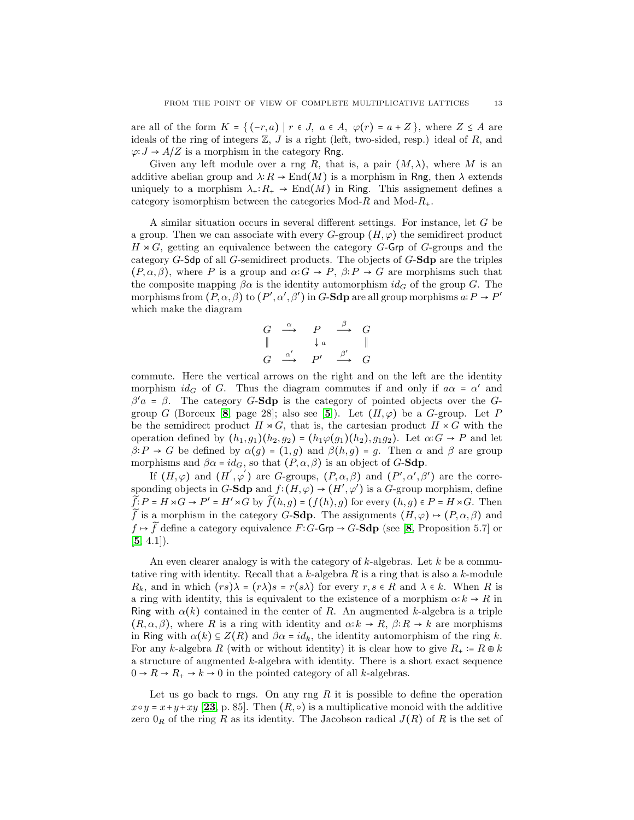are all of the form  $K = \{ (-r, a) | r \in J, a \in A, \varphi(r) = a + Z \}$ , where  $Z \leq A$  are ideals of the ring of integers  $\mathbb{Z}$ , J is a right (left, two-sided, resp.) ideal of R, and  $\varphi: J \to A/Z$  is a morphism in the category Rng.

Given any left module over a rng R, that is, a pair  $(M, \lambda)$ , where M is an additive abelian group and  $\lambda: R \to \text{End}(M)$  is a morphism in Rng, then  $\lambda$  extends uniquely to a morphism  $\lambda_{+}:R_{+}\to \text{End}(M)$  in Ring. This assignement defines a category isomorphism between the categories  $Mod-R$  and  $Mod-R_+$ .

A similar situation occurs in several different settings. For instance, let G be a group. Then we can associate with every  $G$ -group  $(H, \varphi)$  the semidirect product  $H \rtimes G$ , getting an equivalence between the category G-Grp of G-groups and the category G-Sdp of all G-semidirect products. The objects of G-Sdp are the triples  $(P, \alpha, \beta)$ , where P is a group and  $\alpha$ :  $G \rightarrow P$ ,  $\beta$ :  $P \rightarrow G$  are morphisms such that the composite mapping  $\beta \alpha$  is the identity automorphism  $id_G$  of the group G. The morphisms from  $(P, \alpha, \beta)$  to  $(P', \alpha', \beta')$  in G-Sdp are all group morphisms  $a: P \to P'$ which make the diagram

$$
\begin{array}{ccc}\nG & \xrightarrow{\alpha} & P & \xrightarrow{\beta} & G \\
\parallel & & \downarrow{a} & & \parallel \\
G & \xrightarrow{\alpha'} & P' & \xrightarrow{\beta'} & G\n\end{array}
$$

commute. Here the vertical arrows on the right and on the left are the identity morphism  $id_G$  of G. Thus the diagram commutes if and only if  $a\alpha = \alpha'$  and  $β'a = β$ . The category G-Sdp is the category of pointed objects over the G-group G (Borceux [[8](#page-16-6), page 28]; also see [[5](#page-16-4)]). Let  $(H, \varphi)$  be a G-group. Let P be the semidirect product  $H \rtimes G$ , that is, the cartesian product  $H \times G$  with the operation defined by  $(h_1, g_1)(h_2, g_2) = (h_1\varphi(g_1)(h_2), g_1g_2)$ . Let  $\alpha: G \to P$  and let  $\beta$ :  $P \to G$  be defined by  $\alpha(g) = (1, g)$  and  $\beta(h, g) = g$ . Then  $\alpha$  and  $\beta$  are group morphisms and  $\beta \alpha = id_G$ , so that  $(P, \alpha, \beta)$  is an object of G-Sdp.

If  $(H, \varphi)$  and  $(H', \varphi')$  are G-groups,  $(P, \alpha, \beta)$  and  $(P', \alpha', \beta')$  are the corresponding objects in G-Sdp and  $f:(H,\varphi) \to (H',\varphi')$  is a G-group morphism, define  $\widetilde{f}:P=H\rtimes G\to P'=H'\rtimes G$  by  $\widetilde{f}(h,g)=(f(h),g)$  for every  $(h,g)\in P=H\rtimes G$ . Then  $\widetilde{f}$  is a morphism in the category G-Sdp. The assignments  $(H, \varphi) \mapsto (P, \alpha, \beta)$  and  $f \mapsto \tilde{f}$  define a category equivalence  $F: G$ -Grp  $\rightarrow G$ -Sdp (see [[8](#page-16-6), Proposition 5.7] or  $[5, 4.1]$  $[5, 4.1]$  $[5, 4.1]$ .

An even clearer analogy is with the category of  $k$ -algebras. Let  $k$  be a commutative ring with identity. Recall that a  $k$ -algebra  $R$  is a ring that is also a  $k$ -module  $R_k$ , and in which  $(rs)\lambda = (r\lambda)s = r(s\lambda)$  for every  $r, s \in R$  and  $\lambda \in k$ . When R is a ring with identity, this is equivalent to the existence of a morphism  $\alpha: k \to R$  in Ring with  $\alpha(k)$  contained in the center of R. An augmented k-algebra is a triple  $(R, \alpha, \beta)$ , where R is a ring with identity and  $\alpha: k \to R$ ,  $\beta: R \to k$  are morphisms in Ring with  $\alpha(k) \subseteq Z(R)$  and  $\beta \alpha = id_k$ , the identity automorphism of the ring k. For any k-algebra R (with or without identity) it is clear how to give  $R_+ \coloneq R \oplus k$ a structure of augmented  $k$ -algebra with identity. There is a short exact sequence  $0 \to R \to R_+ \to k \to 0$  in the pointed category of all k-algebras.

Let us go back to rngs. On any rng  $R$  it is possible to define the operation  $x \circ y = x + y + xy$  [[23](#page-17-14), p. 85]. Then  $(R, \circ)$  is a multiplicative monoid with the additive zero  $0_R$  of the ring R as its identity. The Jacobson radical  $J(R)$  of R is the set of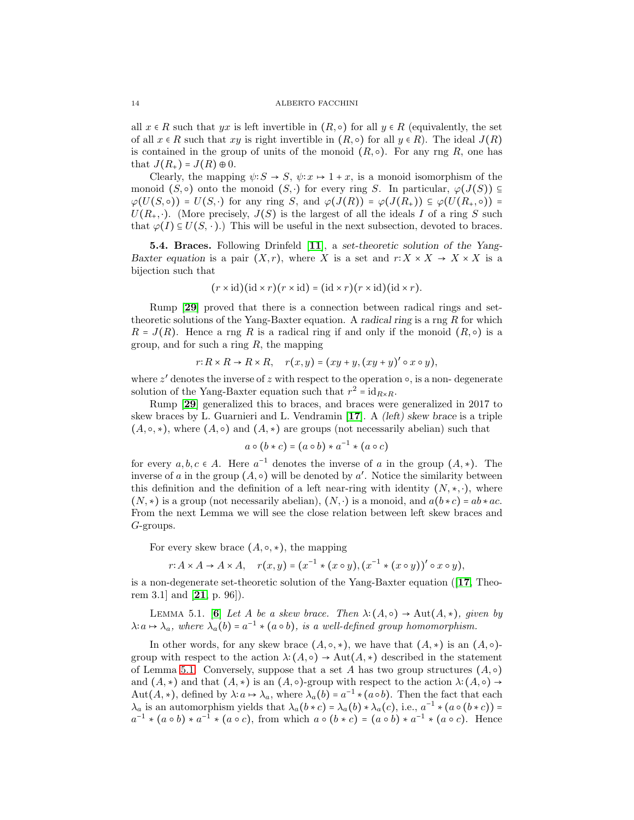all  $x \in R$  such that  $yx$  is left invertible in  $(R, \circ)$  for all  $y \in R$  (equivalently, the set of all  $x \in R$  such that  $xy$  is right invertible in  $(R, \circ)$  for all  $y \in R$ ). The ideal  $J(R)$ is contained in the group of units of the monoid  $(R, \circ)$ . For any rng R, one has that  $J(R_+) = J(R) \oplus 0$ .

Clearly, the mapping  $\psi: S \to S$ ,  $\psi: x \mapsto 1+x$ , is a monoid isomorphism of the monoid  $(S, \circ)$  onto the monoid  $(S, \cdot)$  for every ring S. In particular,  $\varphi(J(S)) \subseteq$  $\varphi(U(S, \circ)) = U(S, \cdot)$  for any ring S, and  $\varphi(J(R)) = \varphi(J(R_+)) \subseteq \varphi(U(R_+,\circ)) =$  $U(R_+,\cdot)$ . (More precisely,  $J(S)$  is the largest of all the ideals I of a ring S such that  $\varphi(I) \subseteq U(S, \cdot)$ .) This will be useful in the next subsection, devoted to braces.

5.4. Braces. Following Drinfeld [[11](#page-17-15)], a set-theoretic solution of the Yang-Baxter equation is a pair  $(X, r)$ , where X is a set and  $r: X \times X \to X \times X$  is a bijection such that

$$
(r \times id)(id \times r)(r \times id) = (id \times r)(r \times id)(id \times r).
$$

Rump [[29](#page-17-16)] proved that there is a connection between radical rings and settheoretic solutions of the Yang-Baxter equation. A radical ring is a rng  $R$  for which  $R = J(R)$ . Hence a rng R is a radical ring if and only if the monoid  $(R, \circ)$  is a group, and for such a ring  $R$ , the mapping

$$
r: R \times R \to R \times R, \quad r(x, y) = (xy + y, (xy + y)' \circ x \circ y),
$$

where  $z'$  denotes the inverse of  $z$  with respect to the operation  $\circ$ , is a non-degenerate solution of the Yang-Baxter equation such that  $r^2 = id_{R \times R}$ .

Rump [[29](#page-17-16)] generalized this to braces, and braces were generalized in 2017 to skew braces by L. Guarnieri and L. Vendramin [[17](#page-17-17)]. A (left) skew brace is a triple  $(A, \circ, *)$ , where  $(A, \circ)$  and  $(A, *)$  are groups (not necessarily abelian) such that

$$
a \circ (b * c) = (a \circ b) * a^{-1} * (a \circ c)
$$

for every  $a, b, c \in A$ . Here  $a^{-1}$  denotes the inverse of a in the group  $(A, *)$ . The inverse of a in the group  $(A, \circ)$  will be denoted by a'. Notice the similarity between this definition and the definition of a left near-ring with identity  $(N, *, \cdot)$ , where  $(N, *)$  is a group (not necessarily abelian),  $(N, \cdot)$  is a monoid, and  $a(b*c) = ab*ac$ . From the next Lemma we will see the close relation between left skew braces and G-groups.

For every skew brace  $(A, \circ, *)$ , the mapping

$$
r: A \times A \to A \times A, \quad r(x, y) = (x^{-1} * (x \circ y), (x^{-1} * (x \circ y))' \circ x \circ y),
$$

is a non-degenerate set-theoretic solution of the Yang-Baxter equation ([[17](#page-17-17), Theorem 3.1 and  $[21, p. 96]$  $[21, p. 96]$  $[21, p. 96]$ .

<span id="page-13-0"></span>LEMMA 5.1. [[6](#page-16-7)] *Let* A *be a skew brace. Then*  $\lambda: (A, \circ) \to \text{Aut}(A, *)$ *, given by*  $\lambda: a \mapsto \lambda_a$ , where  $\lambda_a(b) = a^{-1} * (a \circ b)$ , is a well-defined group homomorphism.

In other words, for any skew brace  $(A, \circ, *)$ , we have that  $(A, *)$  is an  $(A, \circ)$ group with respect to the action  $\lambda: (A, \circ) \to \text{Aut}(A, \ast)$  described in the statement of Lemma [5.1.](#page-13-0) Conversely, suppose that a set A has two group structures  $(A, \circ)$ and  $(A, *)$  and that  $(A, *)$  is an  $(A, \circ)$ -group with respect to the action  $\lambda: (A, \circ) \rightarrow$ Aut(A, \*), defined by  $\lambda: a \mapsto \lambda_a$ , where  $\lambda_a(b) = a^{-1} * (a \circ b)$ . Then the fact that each  $\lambda_a$  is an automorphism yields that  $\lambda_a(b*c) = \lambda_a(b) * \lambda_a(c)$ , i.e.,  $a^{-1} * (a \circ (b * c)) =$  $a^{-1} * (a \circ b) * a^{-1} * (a \circ c)$ , from which  $a \circ (b * c) = (a \circ b) * a^{-1} * (a \circ c)$ . Hence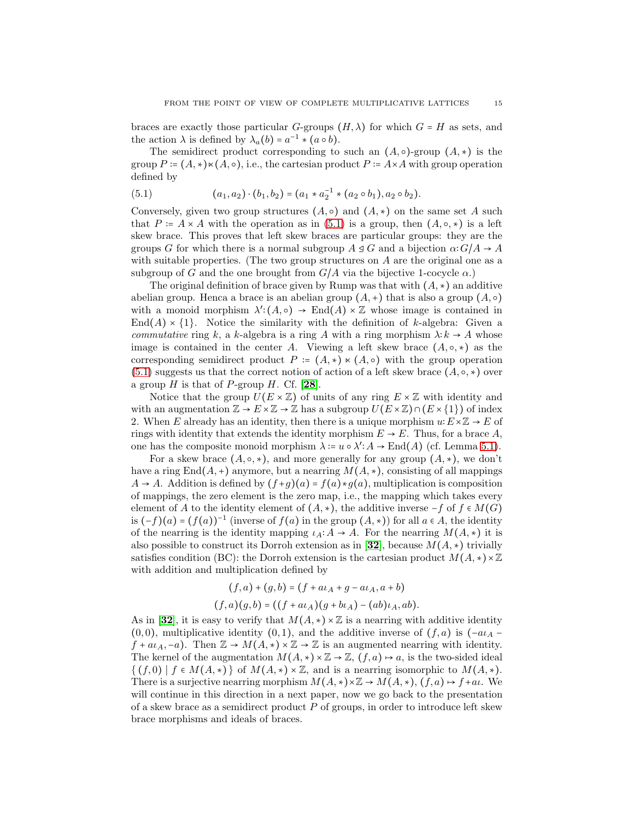braces are exactly those particular G-groups  $(H, \lambda)$  for which  $G = H$  as sets, and the action  $\lambda$  is defined by  $\lambda_a(b) = a^{-1} * (a \circ b)$ .

The semidirect product corresponding to such an  $(A, \circ)$ -group  $(A, \ast)$  is the group  $P = (A, \star) \star (A, \circ),$  i.e., the cartesian product  $P = A \times A$  with group operation defined by

<span id="page-14-0"></span>(5.1) 
$$
(a_1, a_2) \cdot (b_1, b_2) = (a_1 * a_2^{-1} * (a_2 \circ b_1), a_2 \circ b_2).
$$

Conversely, given two group structures  $(A, \circ)$  and  $(A, *)$  on the same set A such that  $P = A \times A$  with the operation as in [\(5.1\)](#page-14-0) is a group, then  $(A, \circ, *)$  is a left skew brace. This proves that left skew braces are particular groups: they are the groups G for which there is a normal subgroup  $A \trianglelefteq G$  and a bijection  $\alpha: G/A \to A$ with suitable properties. (The two group structures on  $A$  are the original one as a subgroup of G and the one brought from  $G/A$  via the bijective 1-cocycle  $\alpha$ .)

The original definition of brace given by Rump was that with  $(A, *)$  an additive abelian group. Henca a brace is an abelian group  $(A,+)$  that is also a group  $(A, \circ)$ with a monoid morphism  $\lambda'(A, \circ) \to \text{End}(A) \times \mathbb{Z}$  whose image is contained in  $\text{End}(A) \times \{1\}$ . Notice the similarity with the definition of k-algebra: Given a *commutative* ring k, a k-algebra is a ring A with a ring morphism  $\lambda: k \to A$  whose image is contained in the center A. Viewing a left skew brace  $(A, \circ, *)$  as the corresponding semidirect product  $P = (A, \star) \times (A, \circ)$  with the group operation [\(5.1\)](#page-14-0) suggests us that the correct notion of action of a left skew brace  $(A, \circ, *)$  over a group  $H$  is that of  $P$ -group  $H$ . Cf. [[28](#page-17-19)].

Notice that the group  $U(E \times \mathbb{Z})$  of units of any ring  $E \times \mathbb{Z}$  with identity and with an augmentation  $\mathbb{Z} \to E \times \mathbb{Z} \to \mathbb{Z}$  has a subgroup  $U(E \times \mathbb{Z}) \cap (E \times \{1\})$  of index 2. When E already has an identity, then there is a unique morphism  $u: E \times \mathbb{Z} \to E$  of rings with identity that extends the identity morphism  $E \to E$ . Thus, for a brace A, one has the composite monoid morphism  $\lambda := u \circ \lambda' : A \to \text{End}(A)$  (cf. Lemma [5.1\)](#page-13-0).

For a skew brace  $(A, \circ, *)$ , and more generally for any group  $(A, *)$ , we don't have a ring End( $A$ , +) anymore, but a nearring  $M(A, \star)$ , consisting of all mappings  $A \rightarrow A$ . Addition is defined by  $(f+q)(a) = f(a)*q(a)$ , multiplication is composition of mappings, the zero element is the zero map, i.e., the mapping which takes every element of A to the identity element of  $(A, *)$ , the additive inverse  $-f$  of  $f \in M(G)$ is  $(-f)(a) = (f(a))^{-1}$  (inverse of  $f(a)$  in the group  $(A, *)$ ) for all  $a ∈ A$ , the identity of the nearring is the identity mapping  $\iota_A: A \to A$ . For the nearring  $M(A, *)$  it is also possible to construct its Dorroh extension as in [[32](#page-17-20)], because  $M(A,*)$  trivially satisfies condition (BC): the Dorroh extension is the cartesian product  $M(A, *) \times \mathbb{Z}$ with addition and multiplication defined by

$$
(f,a) + (g,b) = (f + a\iota_A + g - a\iota_A, a+b)
$$

$$
(f,a)(g,b) = ((f + a\iota_A)(g + b\iota_A) - (ab)\iota_A, ab).
$$

As in [[32](#page-17-20)], it is easy to verify that  $M(A, *) \times \mathbb{Z}$  is a nearring with additive identity  $(0, 0)$ , multiplicative identity  $(0, 1)$ , and the additive inverse of  $(f, a)$  is  $(-a_{\mathcal{A}} - a_{\mathcal{A}})$  $f + a\iota_A, -a$ . Then  $\mathbb{Z} \to M(A, *) \times \mathbb{Z} \to \mathbb{Z}$  is an augmented nearring with identity. The kernel of the augmentation  $M(A, \star) \times \mathbb{Z} \to \mathbb{Z}$ ,  $(f, a) \mapsto a$ , is the two-sided ideal  $\{(f, 0) \mid f \in M(A, *) \}$  of  $M(A, *) \times \mathbb{Z}$ , and is a nearring isomorphic to  $M(A, *)$ . There is a surjective nearring morphism  $M(A, \star) \times \mathbb{Z} \to M(A, \star), (f, a) \mapsto f + a\iota$ . We will continue in this direction in a next paper, now we go back to the presentation of a skew brace as a semidirect product  $P$  of groups, in order to introduce left skew brace morphisms and ideals of braces.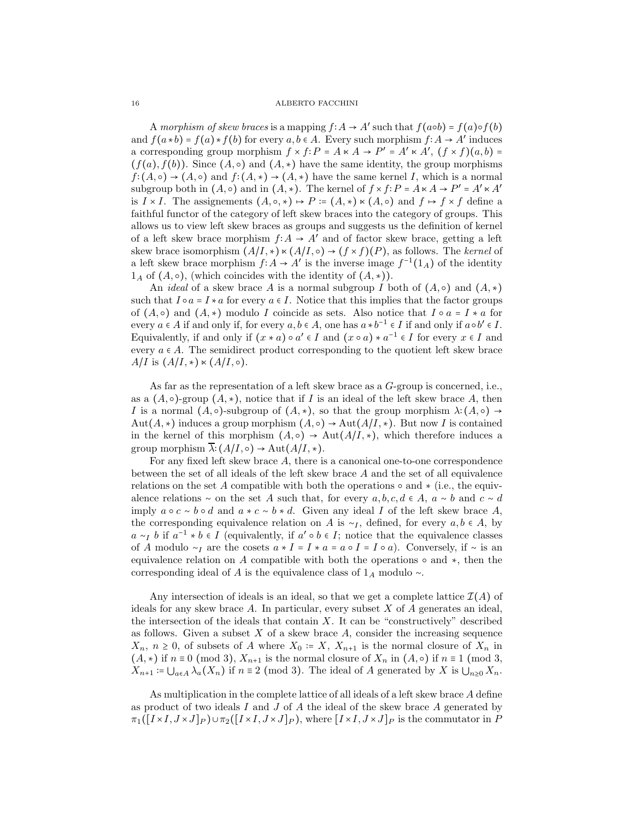A morphism of skew braces is a mapping  $f: A \to A'$  such that  $f(a \circ b) = f(a) \circ f(b)$ and  $f(a * b) = f(a) * f(b)$  for every  $a, b \in A$ . Every such morphism  $f: A \to A'$  induces a corresponding group morphism  $f \times f : P = A \times A \rightarrow P' = A' \times A', (f \times f)(a, b) =$  $(f(a), f(b))$ . Since  $(A, \circ)$  and  $(A, *)$  have the same identity, the group morphisms  $f:(A,\circ)\to(A,\circ)$  and  $f:(A,\star)\to(A,\star)$  have the same kernel I, which is a normal subgroup both in  $(A, \circ)$  and in  $(A, *)$ . The kernel of  $f \times f : P = A \times A \rightarrow P' = A' \times A'$ is  $I \times I$ . The assignements  $(A, \circ, \ast) \mapsto P = (A, \ast) \times (A, \circ)$  and  $f \mapsto f \times f$  define a faithful functor of the category of left skew braces into the category of groups. This allows us to view left skew braces as groups and suggests us the definition of kernel of a left skew brace morphism  $f: A \to A'$  and of factor skew brace, getting a left skew brace isomorphism  $(A/I, *) \times (A/I, \circ) \rightarrow (f \times f)(P)$ , as follows. The *kernel* of a left skew brace morphism  $f: A \to A'$  is the inverse image  $f^{-1}(1_A)$  of the identity  $1_A$  of  $(A, \circ)$ , (which coincides with the identity of  $(A, \ast)$ ).

An *ideal* of a skew brace A is a normal subgroup I both of  $(A, \circ)$  and  $(A, *)$ such that  $I \circ a = I * a$  for every  $a \in I$ . Notice that this implies that the factor groups of  $(A, \circ)$  and  $(A, *)$  modulo I coincide as sets. Also notice that  $I \circ a = I * a$  for every  $a \in A$  if and only if, for every  $a, b \in A$ , one has  $a * b^{-1} \in I$  if and only if  $a \circ b' \in I$ . Equivalently, if and only if  $(x * a) \circ a' \in I$  and  $(x \circ a) * a^{-1} \in I$  for every  $x \in I$  and every  $a \in A$ . The semidirect product corresponding to the quotient left skew brace  $A/I$  is  $(A/I, *) \ltimes (A/I, \circ).$ 

As far as the representation of a left skew brace as a G-group is concerned, i.e., as a  $(A, \circ)$ -group  $(A, \ast)$ , notice that if I is an ideal of the left skew brace A, then I is a normal  $(A, \circ)$ -subgroup of  $(A, \ast)$ , so that the group morphism  $\lambda: (A, \circ) \rightarrow$ Aut( $A, \star$ ) induces a group morphism  $(A, \circ) \to \text{Aut}(A/I, \star)$ . But now I is contained in the kernel of this morphism  $(A, \circ) \to \text{Aut}(A/I, \star)$ , which therefore induces a group morphism  $\overline{\lambda}: (A/I, \circ) \to \text{Aut}(A/I, *)$ .

For any fixed left skew brace A, there is a canonical one-to-one correspondence between the set of all ideals of the left skew brace A and the set of all equivalence relations on the set A compatible with both the operations  $\circ$  and  $\star$  (i.e., the equivalence relations ∼ on the set A such that, for every  $a, b, c, d \in A$ ,  $a \sim b$  and  $c \sim d$ imply  $a \circ c \sim b \circ d$  and  $a * c \sim b * d$ . Given any ideal I of the left skew brace A, the corresponding equivalence relation on A is  $\sim_I$ , defined, for every  $a, b \in A$ , by  $a \sim_I b$  if  $a^{-1} * b \in I$  (equivalently, if  $a' \circ b \in I$ ; notice that the equivalence classes of A modulo ∼<sub>I</sub> are the cosets  $a * I = I * a = a \circ I = I \circ a$ . Conversely, if ∼ is an equivalence relation on A compatible with both the operations  $\circ$  and  $\star$ , then the corresponding ideal of A is the equivalence class of  $1_A$  modulo ∼.

Any intersection of ideals is an ideal, so that we get a complete lattice  $\mathcal{I}(A)$  of ideals for any skew brace  $A$ . In particular, every subset  $X$  of  $A$  generates an ideal, the intersection of the ideals that contain  $X$ . It can be "constructively" described as follows. Given a subset  $X$  of a skew brace  $A$ , consider the increasing sequence  $X_n$ ,  $n \geq 0$ , of subsets of A where  $X_0 = X$ ,  $X_{n+1}$  is the normal closure of  $X_n$  in  $(A, \ast)$  if  $n \equiv 0 \pmod{3}$ ,  $X_{n+1}$  is the normal closure of  $X_n$  in  $(A, \circ)$  if  $n \equiv 1 \pmod{3}$ ,  $X_{n+1} = \bigcup_{a \in A} \lambda_a(X_n)$  if  $n \equiv 2 \pmod{3}$ . The ideal of A generated by X is  $\bigcup_{n \geq 0} X_n$ .

As multiplication in the complete lattice of all ideals of a left skew brace A define as product of two ideals I and J of A the ideal of the skew brace A generated by  $\pi_1([I \times I, J \times J]_P) \cup \pi_2([I \times I, J \times J]_P)$ , where  $[I \times I, J \times J]_P$  is the commutator in P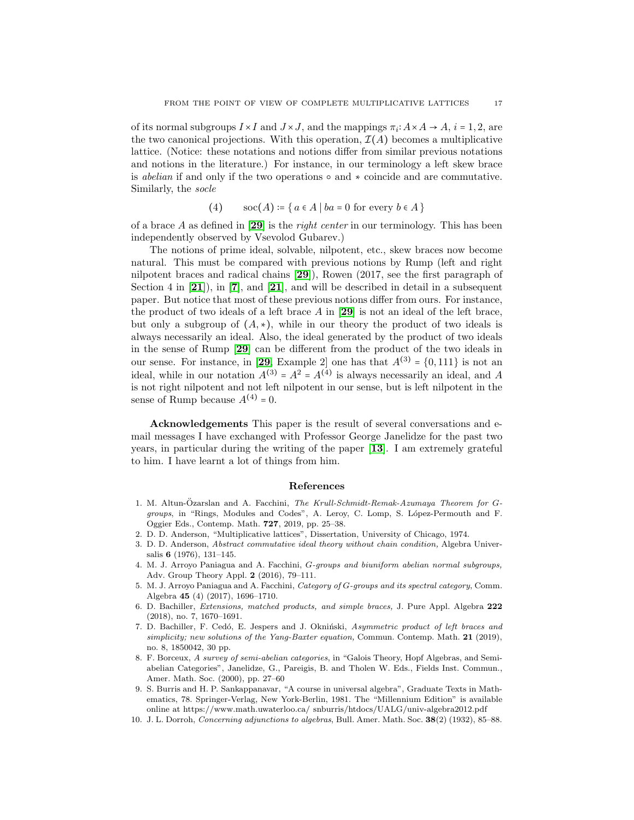of its normal subgroups  $I \times I$  and  $J \times J$ , and the mappings  $\pi_i: A \times A \to A$ ,  $i = 1, 2$ , are the two canonical projections. With this operation,  $\mathcal{I}(A)$  becomes a multiplicative lattice. (Notice: these notations and notions differ from similar previous notations and notions in the literature.) For instance, in our terminology a left skew brace is *abelian* if and only if the two operations ○ and ∗ coincide and are commutative. Similarly, the *socle*

$$
(4) \qquad \text{soc}(A) \coloneqq \{ a \in A \mid ba = 0 \text{ for every } b \in A \}
$$

of a brace A as defined in [[29](#page-17-16)] is the *right center* in our terminology. This has been independently observed by Vsevolod Gubarev.)

The notions of prime ideal, solvable, nilpotent, etc., skew braces now become natural. This must be compared with previous notions by Rump (left and right nilpotent braces and radical chains [[29](#page-17-16)]), Rowen (2017, see the first paragraph of Section 4 in  $[21]$  $[21]$  $[21]$ , in  $[7]$  $[7]$  $[7]$ , and  $[21]$ , and will be described in detail in a subsequent paper. But notice that most of these previous notions differ from ours. For instance, the product of two ideals of a left brace  $A$  in [[29](#page-17-16)] is not an ideal of the left brace, but only a subgroup of  $(A, \star)$ , while in our theory the product of two ideals is always necessarily an ideal. Also, the ideal generated by the product of two ideals in the sense of Rump [[29](#page-17-16)] can be different from the product of the two ideals in our sense. For instance, in [[29](#page-17-16), Example 2] one has that  $A^{(3)} = \{0, 111\}$  is not an ideal, while in our notation  $A^{(3)} = A^2 = A^{(4)}$  is always necessarily an ideal, and A is not right nilpotent and not left nilpotent in our sense, but is left nilpotent in the sense of Rump because  $A^{(4)} = 0$ .

Acknowledgements This paper is the result of several conversations and email messages I have exchanged with Professor George Janelidze for the past two years, in particular during the writing of the paper [[13](#page-17-6)]. I am extremely grateful to him. I have learnt a lot of things from him.

### References

- <span id="page-16-2"></span>1. M. Altun-Özarslan and A. Facchini, *The Krull-Schmidt-Remak-Azumaya Theorem for G*groups, in "Rings, Modules and Codes", A. Leroy, C. Lomp, S. López-Permouth and F. Oggier Eds., Contemp. Math. 727, 2019, pp. 25–38.
- <span id="page-16-1"></span>2. D. D. Anderson, "Multiplicative lattices", Dissertation, University of Chicago, 1974.
- 3. D. D. Anderson, Abstract commutative ideal theory without chain condition, Algebra Universalis 6 (1976), 131–145.
- <span id="page-16-3"></span>4. M. J. Arroyo Paniagua and A. Facchini, G-groups and biuniform abelian normal subgroups, Adv. Group Theory Appl. 2 (2016), 79–111.
- <span id="page-16-4"></span>5. M. J. Arroyo Paniagua and A. Facchini, Category of G-groups and its spectral category, Comm. Algebra 45 (4) (2017), 1696–1710.
- <span id="page-16-7"></span>6. D. Bachiller, Extensions, matched products, and simple braces, J. Pure Appl. Algebra 222 (2018), no. 7, 1670–1691.
- <span id="page-16-8"></span>7. D. Bachiller, F. Cedó, E. Jespers and J. Okniński, Asymmetric product of left braces and simplicity; new solutions of the Yang-Baxter equation, Commun. Contemp. Math. 21 (2019), no. 8, 1850042, 30 pp.
- <span id="page-16-6"></span>8. F. Borceux, A survey of semi-abelian categories, in "Galois Theory, Hopf Algebras, and Semiabelian Categories", Janelidze, G., Pareigis, B. and Tholen W. Eds., Fields Inst. Commun., Amer. Math. Soc. (2000), pp. 27–60
- <span id="page-16-0"></span>9. S. Burris and H. P. Sankappanavar, "A course in universal algebra", Graduate Texts in Mathematics, 78. Springer-Verlag, New York-Berlin, 1981. The "Millennium Edition" is available online at https://www.math.uwaterloo.ca/ snburris/htdocs/UALG/univ-algebra2012.pdf
- <span id="page-16-5"></span>10. J. L. Dorroh, Concerning adjunctions to algebras, Bull. Amer. Math. Soc. 38(2) (1932), 85–88.